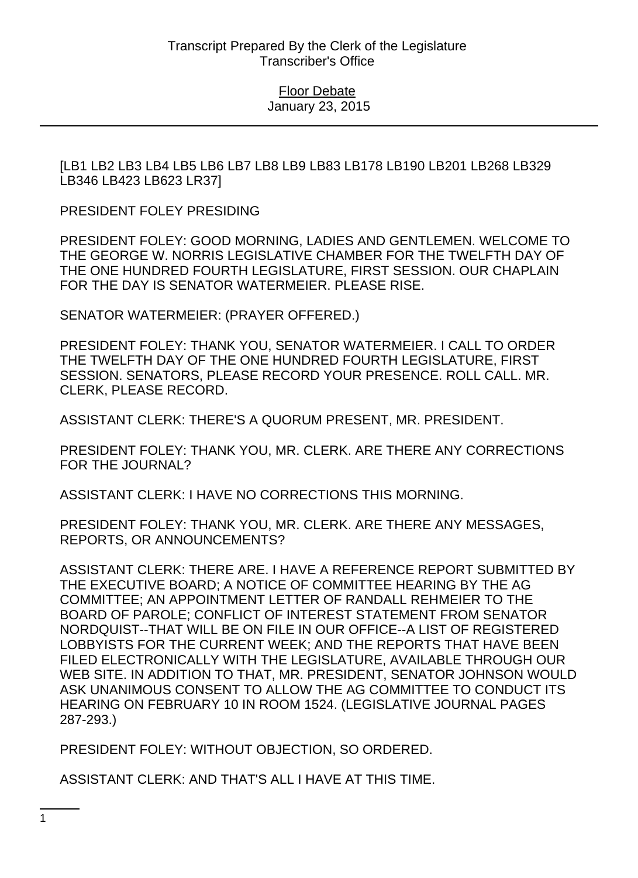[LB1 LB2 LB3 LB4 LB5 LB6 LB7 LB8 LB9 LB83 LB178 LB190 LB201 LB268 LB329 LB346 LB423 LB623 LR37]

PRESIDENT FOLEY PRESIDING

PRESIDENT FOLEY: GOOD MORNING, LADIES AND GENTLEMEN. WELCOME TO THE GEORGE W. NORRIS LEGISLATIVE CHAMBER FOR THE TWELFTH DAY OF THE ONE HUNDRED FOURTH LEGISLATURE, FIRST SESSION. OUR CHAPLAIN FOR THE DAY IS SENATOR WATERMEIER. PLEASE RISE.

SENATOR WATERMEIER: (PRAYER OFFERED.)

PRESIDENT FOLEY: THANK YOU, SENATOR WATERMEIER. I CALL TO ORDER THE TWELFTH DAY OF THE ONE HUNDRED FOURTH LEGISLATURE, FIRST SESSION. SENATORS, PLEASE RECORD YOUR PRESENCE. ROLL CALL. MR. CLERK, PLEASE RECORD.

ASSISTANT CLERK: THERE'S A QUORUM PRESENT, MR. PRESIDENT.

PRESIDENT FOLEY: THANK YOU, MR. CLERK. ARE THERE ANY CORRECTIONS FOR THE JOURNAL?

ASSISTANT CLERK: I HAVE NO CORRECTIONS THIS MORNING.

PRESIDENT FOLEY: THANK YOU, MR. CLERK. ARE THERE ANY MESSAGES, REPORTS, OR ANNOUNCEMENTS?

ASSISTANT CLERK: THERE ARE. I HAVE A REFERENCE REPORT SUBMITTED BY THE EXECUTIVE BOARD; A NOTICE OF COMMITTEE HEARING BY THE AG COMMITTEE; AN APPOINTMENT LETTER OF RANDALL REHMEIER TO THE BOARD OF PAROLE; CONFLICT OF INTEREST STATEMENT FROM SENATOR NORDQUIST--THAT WILL BE ON FILE IN OUR OFFICE--A LIST OF REGISTERED LOBBYISTS FOR THE CURRENT WEEK; AND THE REPORTS THAT HAVE BEEN FILED ELECTRONICALLY WITH THE LEGISLATURE, AVAILABLE THROUGH OUR WEB SITE. IN ADDITION TO THAT, MR. PRESIDENT, SENATOR JOHNSON WOULD ASK UNANIMOUS CONSENT TO ALLOW THE AG COMMITTEE TO CONDUCT ITS HEARING ON FEBRUARY 10 IN ROOM 1524. (LEGISLATIVE JOURNAL PAGES 287-293.)

PRESIDENT FOLEY: WITHOUT OBJECTION, SO ORDERED.

ASSISTANT CLERK: AND THAT'S ALL I HAVE AT THIS TIME.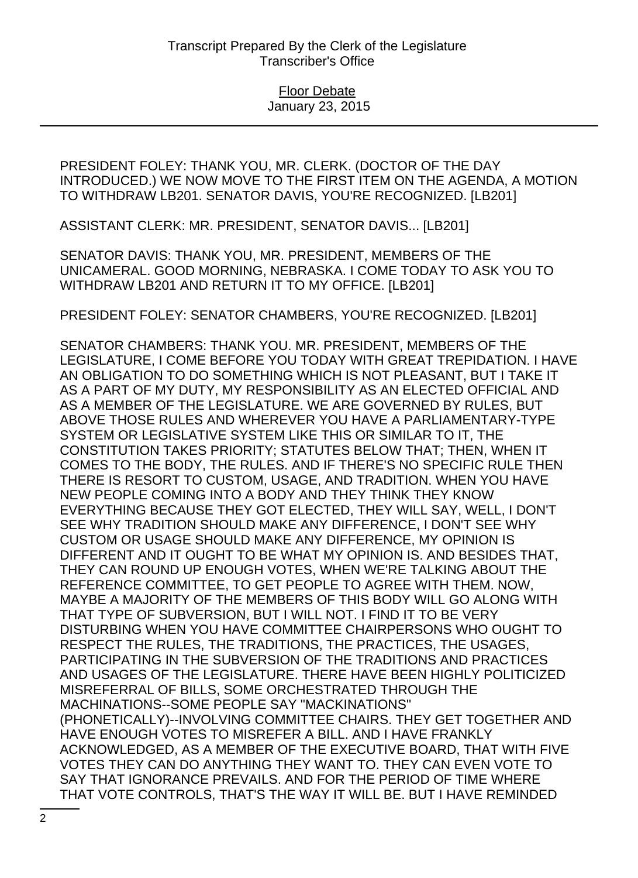PRESIDENT FOLEY: THANK YOU, MR. CLERK. (DOCTOR OF THE DAY INTRODUCED.) WE NOW MOVE TO THE FIRST ITEM ON THE AGENDA, A MOTION TO WITHDRAW LB201. SENATOR DAVIS, YOU'RE RECOGNIZED. [LB201]

ASSISTANT CLERK: MR. PRESIDENT, SENATOR DAVIS... [LB201]

SENATOR DAVIS: THANK YOU, MR. PRESIDENT, MEMBERS OF THE UNICAMERAL. GOOD MORNING, NEBRASKA. I COME TODAY TO ASK YOU TO WITHDRAW LB201 AND RETURN IT TO MY OFFICE. [LB201]

PRESIDENT FOLEY: SENATOR CHAMBERS, YOU'RE RECOGNIZED. [LB201]

SENATOR CHAMBERS: THANK YOU. MR. PRESIDENT, MEMBERS OF THE LEGISLATURE, I COME BEFORE YOU TODAY WITH GREAT TREPIDATION. I HAVE AN OBLIGATION TO DO SOMETHING WHICH IS NOT PLEASANT, BUT I TAKE IT AS A PART OF MY DUTY, MY RESPONSIBILITY AS AN ELECTED OFFICIAL AND AS A MEMBER OF THE LEGISLATURE. WE ARE GOVERNED BY RULES, BUT ABOVE THOSE RULES AND WHEREVER YOU HAVE A PARLIAMENTARY-TYPE SYSTEM OR LEGISLATIVE SYSTEM LIKE THIS OR SIMILAR TO IT, THE CONSTITUTION TAKES PRIORITY; STATUTES BELOW THAT; THEN, WHEN IT COMES TO THE BODY, THE RULES. AND IF THERE'S NO SPECIFIC RULE THEN THERE IS RESORT TO CUSTOM, USAGE, AND TRADITION. WHEN YOU HAVE NEW PEOPLE COMING INTO A BODY AND THEY THINK THEY KNOW EVERYTHING BECAUSE THEY GOT ELECTED, THEY WILL SAY, WELL, I DON'T SEE WHY TRADITION SHOULD MAKE ANY DIFFERENCE, I DON'T SEE WHY CUSTOM OR USAGE SHOULD MAKE ANY DIFFERENCE, MY OPINION IS DIFFERENT AND IT OUGHT TO BE WHAT MY OPINION IS. AND BESIDES THAT, THEY CAN ROUND UP ENOUGH VOTES, WHEN WE'RE TALKING ABOUT THE REFERENCE COMMITTEE, TO GET PEOPLE TO AGREE WITH THEM. NOW, MAYBE A MAJORITY OF THE MEMBERS OF THIS BODY WILL GO ALONG WITH THAT TYPE OF SUBVERSION, BUT I WILL NOT. I FIND IT TO BE VERY DISTURBING WHEN YOU HAVE COMMITTEE CHAIRPERSONS WHO OUGHT TO RESPECT THE RULES, THE TRADITIONS, THE PRACTICES, THE USAGES, PARTICIPATING IN THE SUBVERSION OF THE TRADITIONS AND PRACTICES AND USAGES OF THE LEGISLATURE. THERE HAVE BEEN HIGHLY POLITICIZED MISREFERRAL OF BILLS, SOME ORCHESTRATED THROUGH THE MACHINATIONS--SOME PEOPLE SAY "MACKINATIONS" (PHONETICALLY)--INVOLVING COMMITTEE CHAIRS. THEY GET TOGETHER AND HAVE ENOUGH VOTES TO MISREFER A BILL. AND I HAVE FRANKLY ACKNOWLEDGED, AS A MEMBER OF THE EXECUTIVE BOARD, THAT WITH FIVE VOTES THEY CAN DO ANYTHING THEY WANT TO. THEY CAN EVEN VOTE TO SAY THAT IGNORANCE PREVAILS. AND FOR THE PERIOD OF TIME WHERE THAT VOTE CONTROLS, THAT'S THE WAY IT WILL BE. BUT I HAVE REMINDED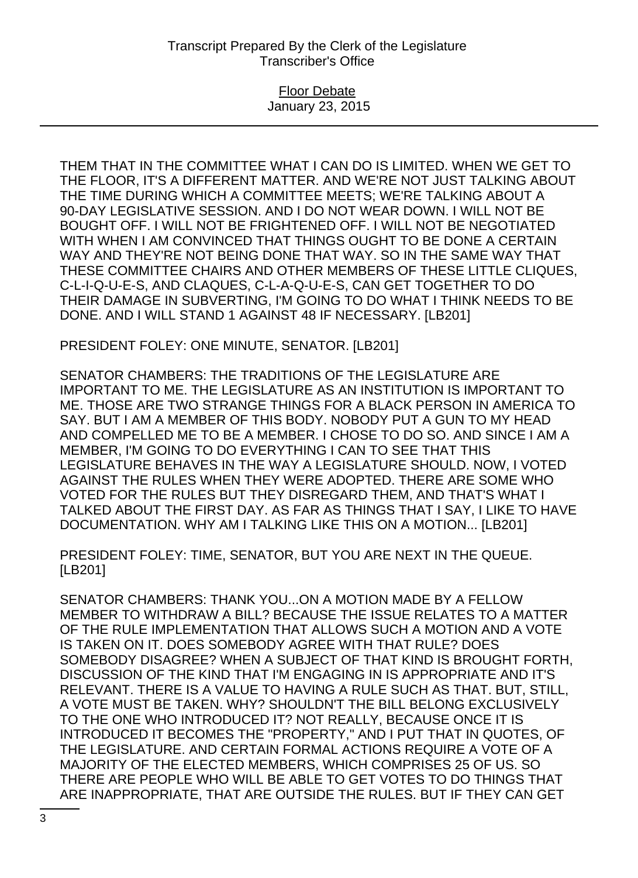### Floor Debate January 23, 2015

THEM THAT IN THE COMMITTEE WHAT I CAN DO IS LIMITED. WHEN WE GET TO THE FLOOR, IT'S A DIFFERENT MATTER. AND WE'RE NOT JUST TALKING ABOUT THE TIME DURING WHICH A COMMITTEE MEETS; WE'RE TALKING ABOUT A 90-DAY LEGISLATIVE SESSION. AND I DO NOT WEAR DOWN. I WILL NOT BE BOUGHT OFF. I WILL NOT BE FRIGHTENED OFF. I WILL NOT BE NEGOTIATED WITH WHEN I AM CONVINCED THAT THINGS OUGHT TO BE DONE A CERTAIN WAY AND THEY'RE NOT BEING DONE THAT WAY. SO IN THE SAME WAY THAT THESE COMMITTEE CHAIRS AND OTHER MEMBERS OF THESE LITTLE CLIQUES, C-L-I-Q-U-E-S, AND CLAQUES, C-L-A-Q-U-E-S, CAN GET TOGETHER TO DO THEIR DAMAGE IN SUBVERTING, I'M GOING TO DO WHAT I THINK NEEDS TO BE DONE. AND I WILL STAND 1 AGAINST 48 IF NECESSARY. [LB201]

PRESIDENT FOLEY: ONE MINUTE, SENATOR. [LB201]

SENATOR CHAMBERS: THE TRADITIONS OF THE LEGISLATURE ARE IMPORTANT TO ME. THE LEGISLATURE AS AN INSTITUTION IS IMPORTANT TO ME. THOSE ARE TWO STRANGE THINGS FOR A BLACK PERSON IN AMERICA TO SAY. BUT I AM A MEMBER OF THIS BODY. NOBODY PUT A GUN TO MY HEAD AND COMPELLED ME TO BE A MEMBER. I CHOSE TO DO SO. AND SINCE I AM A MEMBER, I'M GOING TO DO EVERYTHING I CAN TO SEE THAT THIS LEGISLATURE BEHAVES IN THE WAY A LEGISLATURE SHOULD. NOW, I VOTED AGAINST THE RULES WHEN THEY WERE ADOPTED. THERE ARE SOME WHO VOTED FOR THE RULES BUT THEY DISREGARD THEM, AND THAT'S WHAT I TALKED ABOUT THE FIRST DAY. AS FAR AS THINGS THAT I SAY, I LIKE TO HAVE DOCUMENTATION. WHY AM I TALKING LIKE THIS ON A MOTION... [LB201]

PRESIDENT FOLEY: TIME, SENATOR, BUT YOU ARE NEXT IN THE QUEUE. [LB201]

SENATOR CHAMBERS: THANK YOU...ON A MOTION MADE BY A FELLOW MEMBER TO WITHDRAW A BILL? BECAUSE THE ISSUE RELATES TO A MATTER OF THE RULE IMPLEMENTATION THAT ALLOWS SUCH A MOTION AND A VOTE IS TAKEN ON IT. DOES SOMEBODY AGREE WITH THAT RULE? DOES SOMEBODY DISAGREE? WHEN A SUBJECT OF THAT KIND IS BROUGHT FORTH, DISCUSSION OF THE KIND THAT I'M ENGAGING IN IS APPROPRIATE AND IT'S RELEVANT. THERE IS A VALUE TO HAVING A RULE SUCH AS THAT. BUT, STILL, A VOTE MUST BE TAKEN. WHY? SHOULDN'T THE BILL BELONG EXCLUSIVELY TO THE ONE WHO INTRODUCED IT? NOT REALLY, BECAUSE ONCE IT IS INTRODUCED IT BECOMES THE "PROPERTY," AND I PUT THAT IN QUOTES, OF THE LEGISLATURE. AND CERTAIN FORMAL ACTIONS REQUIRE A VOTE OF A MAJORITY OF THE ELECTED MEMBERS, WHICH COMPRISES 25 OF US. SO THERE ARE PEOPLE WHO WILL BE ABLE TO GET VOTES TO DO THINGS THAT ARE INAPPROPRIATE, THAT ARE OUTSIDE THE RULES. BUT IF THEY CAN GET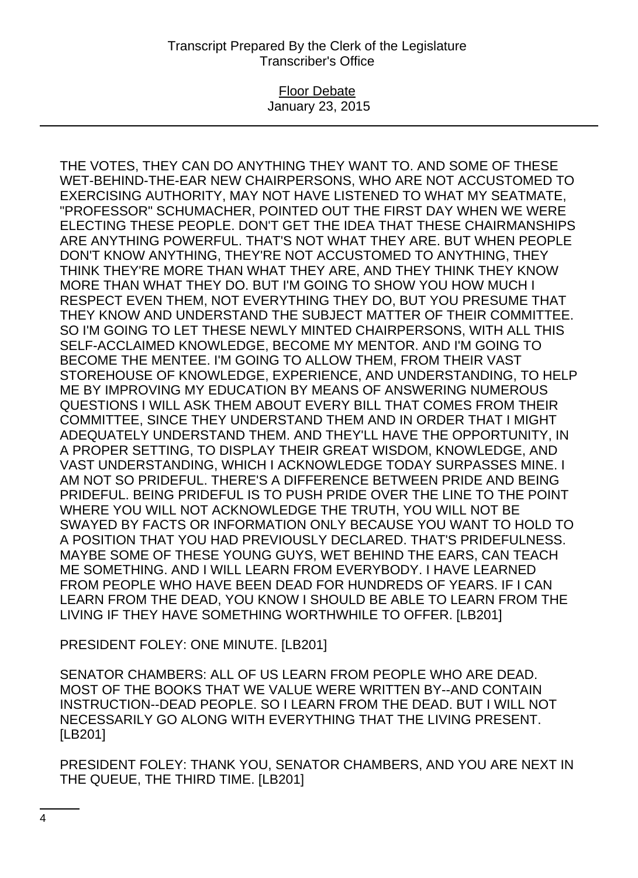### Floor Debate January 23, 2015

THE VOTES, THEY CAN DO ANYTHING THEY WANT TO. AND SOME OF THESE WET-BEHIND-THE-EAR NEW CHAIRPERSONS, WHO ARE NOT ACCUSTOMED TO EXERCISING AUTHORITY, MAY NOT HAVE LISTENED TO WHAT MY SEATMATE, "PROFESSOR" SCHUMACHER, POINTED OUT THE FIRST DAY WHEN WE WERE ELECTING THESE PEOPLE. DON'T GET THE IDEA THAT THESE CHAIRMANSHIPS ARE ANYTHING POWERFUL. THAT'S NOT WHAT THEY ARE. BUT WHEN PEOPLE DON'T KNOW ANYTHING, THEY'RE NOT ACCUSTOMED TO ANYTHING, THEY THINK THEY'RE MORE THAN WHAT THEY ARE, AND THEY THINK THEY KNOW MORE THAN WHAT THEY DO. BUT I'M GOING TO SHOW YOU HOW MUCH I RESPECT EVEN THEM, NOT EVERYTHING THEY DO, BUT YOU PRESUME THAT THEY KNOW AND UNDERSTAND THE SUBJECT MATTER OF THEIR COMMITTEE. SO I'M GOING TO LET THESE NEWLY MINTED CHAIRPERSONS, WITH ALL THIS SELF-ACCLAIMED KNOWLEDGE, BECOME MY MENTOR. AND I'M GOING TO BECOME THE MENTEE. I'M GOING TO ALLOW THEM, FROM THEIR VAST STOREHOUSE OF KNOWLEDGE, EXPERIENCE, AND UNDERSTANDING, TO HELP ME BY IMPROVING MY EDUCATION BY MEANS OF ANSWERING NUMEROUS QUESTIONS I WILL ASK THEM ABOUT EVERY BILL THAT COMES FROM THEIR COMMITTEE, SINCE THEY UNDERSTAND THEM AND IN ORDER THAT I MIGHT ADEQUATELY UNDERSTAND THEM. AND THEY'LL HAVE THE OPPORTUNITY, IN A PROPER SETTING, TO DISPLAY THEIR GREAT WISDOM, KNOWLEDGE, AND VAST UNDERSTANDING, WHICH I ACKNOWLEDGE TODAY SURPASSES MINE. I AM NOT SO PRIDEFUL. THERE'S A DIFFERENCE BETWEEN PRIDE AND BEING PRIDEFUL. BEING PRIDEFUL IS TO PUSH PRIDE OVER THE LINE TO THE POINT WHERE YOU WILL NOT ACKNOWLEDGE THE TRUTH, YOU WILL NOT BE SWAYED BY FACTS OR INFORMATION ONLY BECAUSE YOU WANT TO HOLD TO A POSITION THAT YOU HAD PREVIOUSLY DECLARED. THAT'S PRIDEFULNESS. MAYBE SOME OF THESE YOUNG GUYS, WET BEHIND THE EARS, CAN TEACH ME SOMETHING. AND I WILL LEARN FROM EVERYBODY. I HAVE LEARNED FROM PEOPLE WHO HAVE BEEN DEAD FOR HUNDREDS OF YEARS. IF I CAN LEARN FROM THE DEAD, YOU KNOW I SHOULD BE ABLE TO LEARN FROM THE LIVING IF THEY HAVE SOMETHING WORTHWHILE TO OFFER. [LB201]

PRESIDENT FOLEY: ONE MINUTE. [LB201]

SENATOR CHAMBERS: ALL OF US LEARN FROM PEOPLE WHO ARE DEAD. MOST OF THE BOOKS THAT WE VALUE WERE WRITTEN BY--AND CONTAIN INSTRUCTION--DEAD PEOPLE. SO I LEARN FROM THE DEAD. BUT I WILL NOT NECESSARILY GO ALONG WITH EVERYTHING THAT THE LIVING PRESENT. [LB201]

PRESIDENT FOLEY: THANK YOU, SENATOR CHAMBERS, AND YOU ARE NEXT IN THE QUEUE, THE THIRD TIME. [LB201]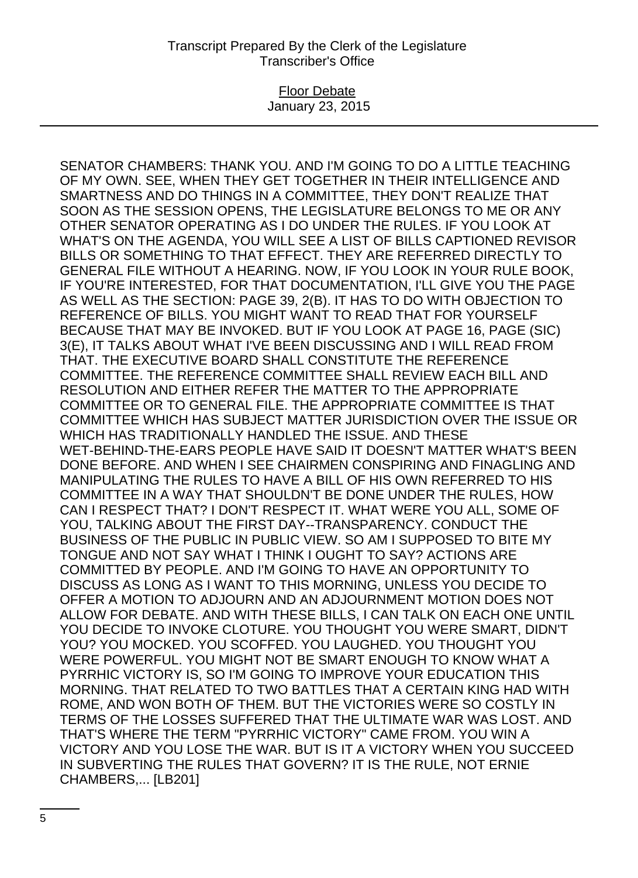### Floor Debate January 23, 2015

SENATOR CHAMBERS: THANK YOU. AND I'M GOING TO DO A LITTLE TEACHING OF MY OWN. SEE, WHEN THEY GET TOGETHER IN THEIR INTELLIGENCE AND SMARTNESS AND DO THINGS IN A COMMITTEE, THEY DON'T REALIZE THAT SOON AS THE SESSION OPENS, THE LEGISLATURE BELONGS TO ME OR ANY OTHER SENATOR OPERATING AS I DO UNDER THE RULES. IF YOU LOOK AT WHAT'S ON THE AGENDA, YOU WILL SEE A LIST OF BILLS CAPTIONED REVISOR BILLS OR SOMETHING TO THAT EFFECT. THEY ARE REFERRED DIRECTLY TO GENERAL FILE WITHOUT A HEARING. NOW, IF YOU LOOK IN YOUR RULE BOOK, IF YOU'RE INTERESTED, FOR THAT DOCUMENTATION, I'LL GIVE YOU THE PAGE AS WELL AS THE SECTION: PAGE 39, 2(B). IT HAS TO DO WITH OBJECTION TO REFERENCE OF BILLS. YOU MIGHT WANT TO READ THAT FOR YOURSELF BECAUSE THAT MAY BE INVOKED. BUT IF YOU LOOK AT PAGE 16, PAGE (SIC) 3(E), IT TALKS ABOUT WHAT I'VE BEEN DISCUSSING AND I WILL READ FROM THAT. THE EXECUTIVE BOARD SHALL CONSTITUTE THE REFERENCE COMMITTEE. THE REFERENCE COMMITTEE SHALL REVIEW EACH BILL AND RESOLUTION AND EITHER REFER THE MATTER TO THE APPROPRIATE COMMITTEE OR TO GENERAL FILE. THE APPROPRIATE COMMITTEE IS THAT COMMITTEE WHICH HAS SUBJECT MATTER JURISDICTION OVER THE ISSUE OR WHICH HAS TRADITIONALLY HANDLED THE ISSUE. AND THESE WET-BEHIND-THE-EARS PEOPLE HAVE SAID IT DOESN'T MATTER WHAT'S BEEN DONE BEFORE. AND WHEN I SEE CHAIRMEN CONSPIRING AND FINAGLING AND MANIPULATING THE RULES TO HAVE A BILL OF HIS OWN REFERRED TO HIS COMMITTEE IN A WAY THAT SHOULDN'T BE DONE UNDER THE RULES, HOW CAN I RESPECT THAT? I DON'T RESPECT IT. WHAT WERE YOU ALL, SOME OF YOU, TALKING ABOUT THE FIRST DAY--TRANSPARENCY. CONDUCT THE BUSINESS OF THE PUBLIC IN PUBLIC VIEW. SO AM I SUPPOSED TO BITE MY TONGUE AND NOT SAY WHAT I THINK I OUGHT TO SAY? ACTIONS ARE COMMITTED BY PEOPLE. AND I'M GOING TO HAVE AN OPPORTUNITY TO DISCUSS AS LONG AS I WANT TO THIS MORNING, UNLESS YOU DECIDE TO OFFER A MOTION TO ADJOURN AND AN ADJOURNMENT MOTION DOES NOT ALLOW FOR DEBATE. AND WITH THESE BILLS, I CAN TALK ON EACH ONE UNTIL YOU DECIDE TO INVOKE CLOTURE. YOU THOUGHT YOU WERE SMART, DIDN'T YOU? YOU MOCKED. YOU SCOFFED. YOU LAUGHED. YOU THOUGHT YOU WERE POWERFUL. YOU MIGHT NOT BE SMART ENOUGH TO KNOW WHAT A PYRRHIC VICTORY IS, SO I'M GOING TO IMPROVE YOUR EDUCATION THIS MORNING. THAT RELATED TO TWO BATTLES THAT A CERTAIN KING HAD WITH ROME, AND WON BOTH OF THEM. BUT THE VICTORIES WERE SO COSTLY IN TERMS OF THE LOSSES SUFFERED THAT THE ULTIMATE WAR WAS LOST. AND THAT'S WHERE THE TERM "PYRRHIC VICTORY" CAME FROM. YOU WIN A VICTORY AND YOU LOSE THE WAR. BUT IS IT A VICTORY WHEN YOU SUCCEED IN SUBVERTING THE RULES THAT GOVERN? IT IS THE RULE, NOT ERNIE CHAMBERS,... [LB201]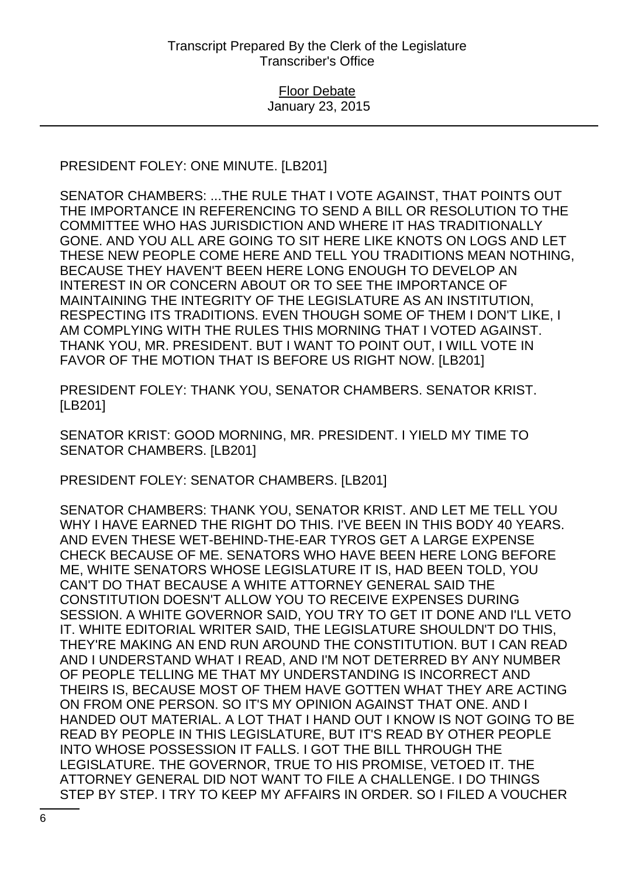# PRESIDENT FOLEY: ONE MINUTE. [LB201]

SENATOR CHAMBERS: ...THE RULE THAT I VOTE AGAINST, THAT POINTS OUT THE IMPORTANCE IN REFERENCING TO SEND A BILL OR RESOLUTION TO THE COMMITTEE WHO HAS JURISDICTION AND WHERE IT HAS TRADITIONALLY GONE. AND YOU ALL ARE GOING TO SIT HERE LIKE KNOTS ON LOGS AND LET THESE NEW PEOPLE COME HERE AND TELL YOU TRADITIONS MEAN NOTHING, BECAUSE THEY HAVEN'T BEEN HERE LONG ENOUGH TO DEVELOP AN INTEREST IN OR CONCERN ABOUT OR TO SEE THE IMPORTANCE OF MAINTAINING THE INTEGRITY OF THE LEGISLATURE AS AN INSTITUTION, RESPECTING ITS TRADITIONS. EVEN THOUGH SOME OF THEM I DON'T LIKE, I AM COMPLYING WITH THE RULES THIS MORNING THAT I VOTED AGAINST. THANK YOU, MR. PRESIDENT. BUT I WANT TO POINT OUT, I WILL VOTE IN FAVOR OF THE MOTION THAT IS BEFORE US RIGHT NOW. [LB201]

PRESIDENT FOLEY: THANK YOU, SENATOR CHAMBERS. SENATOR KRIST. [LB201]

SENATOR KRIST: GOOD MORNING, MR. PRESIDENT. I YIELD MY TIME TO SENATOR CHAMBERS. [LB201]

PRESIDENT FOLEY: SENATOR CHAMBERS. [LB201]

SENATOR CHAMBERS: THANK YOU, SENATOR KRIST. AND LET ME TELL YOU WHY I HAVE EARNED THE RIGHT DO THIS. I'VE BEEN IN THIS BODY 40 YEARS. AND EVEN THESE WET-BEHIND-THE-EAR TYROS GET A LARGE EXPENSE CHECK BECAUSE OF ME. SENATORS WHO HAVE BEEN HERE LONG BEFORE ME, WHITE SENATORS WHOSE LEGISLATURE IT IS, HAD BEEN TOLD, YOU CAN'T DO THAT BECAUSE A WHITE ATTORNEY GENERAL SAID THE CONSTITUTION DOESN'T ALLOW YOU TO RECEIVE EXPENSES DURING SESSION. A WHITE GOVERNOR SAID, YOU TRY TO GET IT DONE AND I'LL VETO IT. WHITE EDITORIAL WRITER SAID, THE LEGISLATURE SHOULDN'T DO THIS, THEY'RE MAKING AN END RUN AROUND THE CONSTITUTION. BUT I CAN READ AND I UNDERSTAND WHAT I READ, AND I'M NOT DETERRED BY ANY NUMBER OF PEOPLE TELLING ME THAT MY UNDERSTANDING IS INCORRECT AND THEIRS IS, BECAUSE MOST OF THEM HAVE GOTTEN WHAT THEY ARE ACTING ON FROM ONE PERSON. SO IT'S MY OPINION AGAINST THAT ONE. AND I HANDED OUT MATERIAL. A LOT THAT I HAND OUT I KNOW IS NOT GOING TO BE READ BY PEOPLE IN THIS LEGISLATURE, BUT IT'S READ BY OTHER PEOPLE INTO WHOSE POSSESSION IT FALLS. I GOT THE BILL THROUGH THE LEGISLATURE. THE GOVERNOR, TRUE TO HIS PROMISE, VETOED IT. THE ATTORNEY GENERAL DID NOT WANT TO FILE A CHALLENGE. I DO THINGS STEP BY STEP. I TRY TO KEEP MY AFFAIRS IN ORDER. SO I FILED A VOUCHER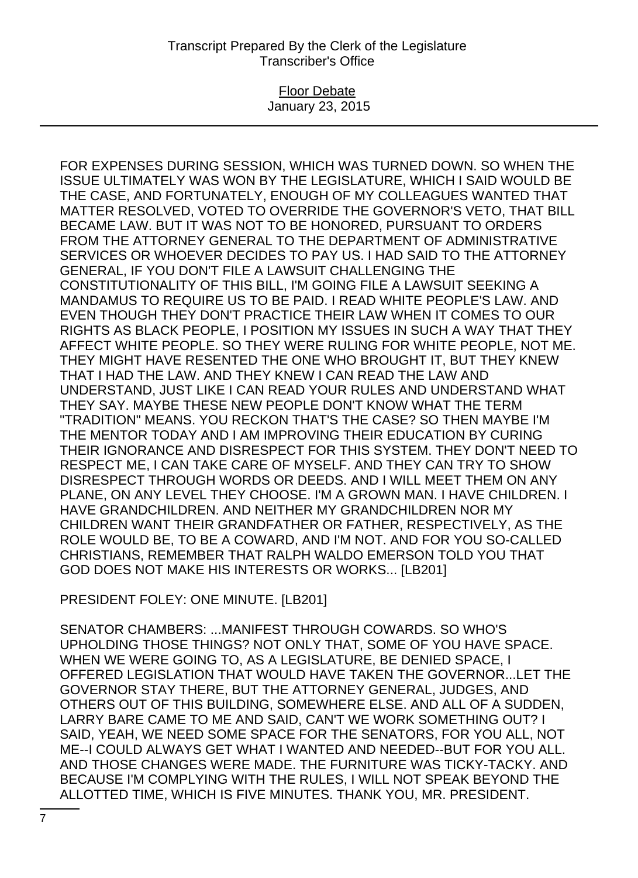## Floor Debate January 23, 2015

FOR EXPENSES DURING SESSION, WHICH WAS TURNED DOWN. SO WHEN THE ISSUE ULTIMATELY WAS WON BY THE LEGISLATURE, WHICH I SAID WOULD BE THE CASE, AND FORTUNATELY, ENOUGH OF MY COLLEAGUES WANTED THAT MATTER RESOLVED, VOTED TO OVERRIDE THE GOVERNOR'S VETO, THAT BILL BECAME LAW. BUT IT WAS NOT TO BE HONORED, PURSUANT TO ORDERS FROM THE ATTORNEY GENERAL TO THE DEPARTMENT OF ADMINISTRATIVE SERVICES OR WHOEVER DECIDES TO PAY US. I HAD SAID TO THE ATTORNEY GENERAL, IF YOU DON'T FILE A LAWSUIT CHALLENGING THE CONSTITUTIONALITY OF THIS BILL, I'M GOING FILE A LAWSUIT SEEKING A MANDAMUS TO REQUIRE US TO BE PAID. I READ WHITE PEOPLE'S LAW. AND EVEN THOUGH THEY DON'T PRACTICE THEIR LAW WHEN IT COMES TO OUR RIGHTS AS BLACK PEOPLE, I POSITION MY ISSUES IN SUCH A WAY THAT THEY AFFECT WHITE PEOPLE. SO THEY WERE RULING FOR WHITE PEOPLE, NOT ME. THEY MIGHT HAVE RESENTED THE ONE WHO BROUGHT IT, BUT THEY KNEW THAT I HAD THE LAW. AND THEY KNEW I CAN READ THE LAW AND UNDERSTAND, JUST LIKE I CAN READ YOUR RULES AND UNDERSTAND WHAT THEY SAY. MAYBE THESE NEW PEOPLE DON'T KNOW WHAT THE TERM "TRADITION" MEANS. YOU RECKON THAT'S THE CASE? SO THEN MAYBE I'M THE MENTOR TODAY AND I AM IMPROVING THEIR EDUCATION BY CURING THEIR IGNORANCE AND DISRESPECT FOR THIS SYSTEM. THEY DON'T NEED TO RESPECT ME, I CAN TAKE CARE OF MYSELF. AND THEY CAN TRY TO SHOW DISRESPECT THROUGH WORDS OR DEEDS. AND I WILL MEET THEM ON ANY PLANE, ON ANY LEVEL THEY CHOOSE. I'M A GROWN MAN. I HAVE CHILDREN. I HAVE GRANDCHILDREN. AND NEITHER MY GRANDCHILDREN NOR MY CHILDREN WANT THEIR GRANDFATHER OR FATHER, RESPECTIVELY, AS THE ROLE WOULD BE, TO BE A COWARD, AND I'M NOT. AND FOR YOU SO-CALLED CHRISTIANS, REMEMBER THAT RALPH WALDO EMERSON TOLD YOU THAT GOD DOES NOT MAKE HIS INTERESTS OR WORKS... [LB201]

PRESIDENT FOLEY: ONE MINUTE. [LB201]

SENATOR CHAMBERS: ...MANIFEST THROUGH COWARDS. SO WHO'S UPHOLDING THOSE THINGS? NOT ONLY THAT, SOME OF YOU HAVE SPACE. WHEN WE WERE GOING TO, AS A LEGISLATURE, BE DENIED SPACE, I OFFERED LEGISLATION THAT WOULD HAVE TAKEN THE GOVERNOR...LET THE GOVERNOR STAY THERE, BUT THE ATTORNEY GENERAL, JUDGES, AND OTHERS OUT OF THIS BUILDING, SOMEWHERE ELSE. AND ALL OF A SUDDEN, LARRY BARE CAME TO ME AND SAID, CAN'T WE WORK SOMETHING OUT? I SAID, YEAH, WE NEED SOME SPACE FOR THE SENATORS, FOR YOU ALL, NOT ME--I COULD ALWAYS GET WHAT I WANTED AND NEEDED--BUT FOR YOU ALL. AND THOSE CHANGES WERE MADE. THE FURNITURE WAS TICKY-TACKY. AND BECAUSE I'M COMPLYING WITH THE RULES, I WILL NOT SPEAK BEYOND THE ALLOTTED TIME, WHICH IS FIVE MINUTES. THANK YOU, MR. PRESIDENT.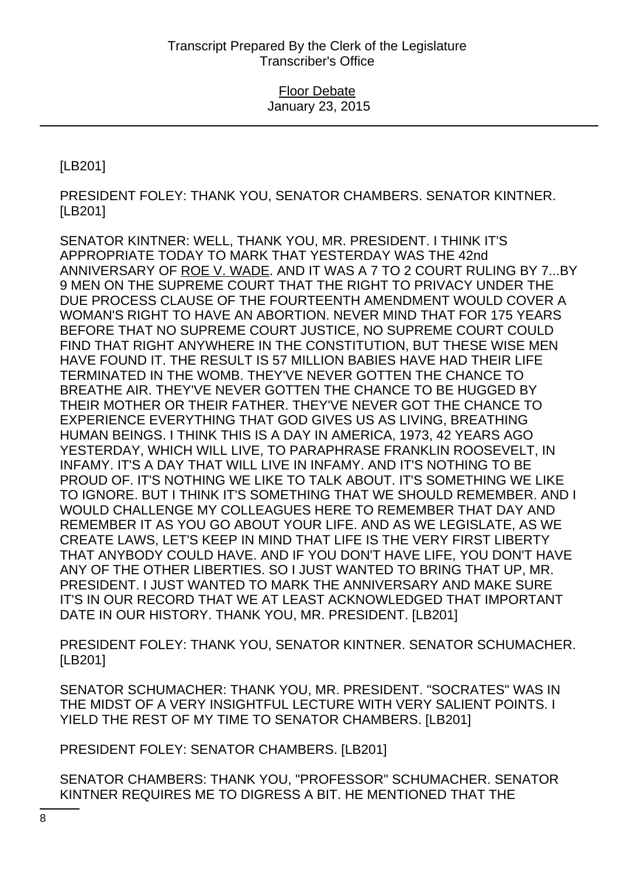[LB201]

PRESIDENT FOLEY: THANK YOU, SENATOR CHAMBERS. SENATOR KINTNER. [LB201]

SENATOR KINTNER: WELL, THANK YOU, MR. PRESIDENT. I THINK IT'S APPROPRIATE TODAY TO MARK THAT YESTERDAY WAS THE 42nd ANNIVERSARY OF ROE V. WADE. AND IT WAS A 7 TO 2 COURT RULING BY 7...BY 9 MEN ON THE SUPREME COURT THAT THE RIGHT TO PRIVACY UNDER THE DUE PROCESS CLAUSE OF THE FOURTEENTH AMENDMENT WOULD COVER A WOMAN'S RIGHT TO HAVE AN ABORTION. NEVER MIND THAT FOR 175 YEARS BEFORE THAT NO SUPREME COURT JUSTICE, NO SUPREME COURT COULD FIND THAT RIGHT ANYWHERE IN THE CONSTITUTION, BUT THESE WISE MEN HAVE FOUND IT. THE RESULT IS 57 MILLION BABIES HAVE HAD THEIR LIFE TERMINATED IN THE WOMB. THEY'VE NEVER GOTTEN THE CHANCE TO BREATHE AIR. THEY'VE NEVER GOTTEN THE CHANCE TO BE HUGGED BY THEIR MOTHER OR THEIR FATHER. THEY'VE NEVER GOT THE CHANCE TO EXPERIENCE EVERYTHING THAT GOD GIVES US AS LIVING, BREATHING HUMAN BEINGS. I THINK THIS IS A DAY IN AMERICA, 1973, 42 YEARS AGO YESTERDAY, WHICH WILL LIVE, TO PARAPHRASE FRANKLIN ROOSEVELT, IN INFAMY. IT'S A DAY THAT WILL LIVE IN INFAMY. AND IT'S NOTHING TO BE PROUD OF. IT'S NOTHING WE LIKE TO TALK ABOUT. IT'S SOMETHING WE LIKE TO IGNORE. BUT I THINK IT'S SOMETHING THAT WE SHOULD REMEMBER. AND I WOULD CHALLENGE MY COLLEAGUES HERE TO REMEMBER THAT DAY AND REMEMBER IT AS YOU GO ABOUT YOUR LIFE. AND AS WE LEGISLATE, AS WE CREATE LAWS, LET'S KEEP IN MIND THAT LIFE IS THE VERY FIRST LIBERTY THAT ANYBODY COULD HAVE. AND IF YOU DON'T HAVE LIFE, YOU DON'T HAVE ANY OF THE OTHER LIBERTIES. SO I JUST WANTED TO BRING THAT UP, MR. PRESIDENT. I JUST WANTED TO MARK THE ANNIVERSARY AND MAKE SURE IT'S IN OUR RECORD THAT WE AT LEAST ACKNOWLEDGED THAT IMPORTANT DATE IN OUR HISTORY. THANK YOU, MR. PRESIDENT. [LB201]

PRESIDENT FOLEY: THANK YOU, SENATOR KINTNER. SENATOR SCHUMACHER. [LB201]

SENATOR SCHUMACHER: THANK YOU, MR. PRESIDENT. "SOCRATES" WAS IN THE MIDST OF A VERY INSIGHTFUL LECTURE WITH VERY SALIENT POINTS. I YIELD THE REST OF MY TIME TO SENATOR CHAMBERS. [LB201]

PRESIDENT FOLEY: SENATOR CHAMBERS. [LB201]

SENATOR CHAMBERS: THANK YOU, "PROFESSOR" SCHUMACHER. SENATOR KINTNER REQUIRES ME TO DIGRESS A BIT. HE MENTIONED THAT THE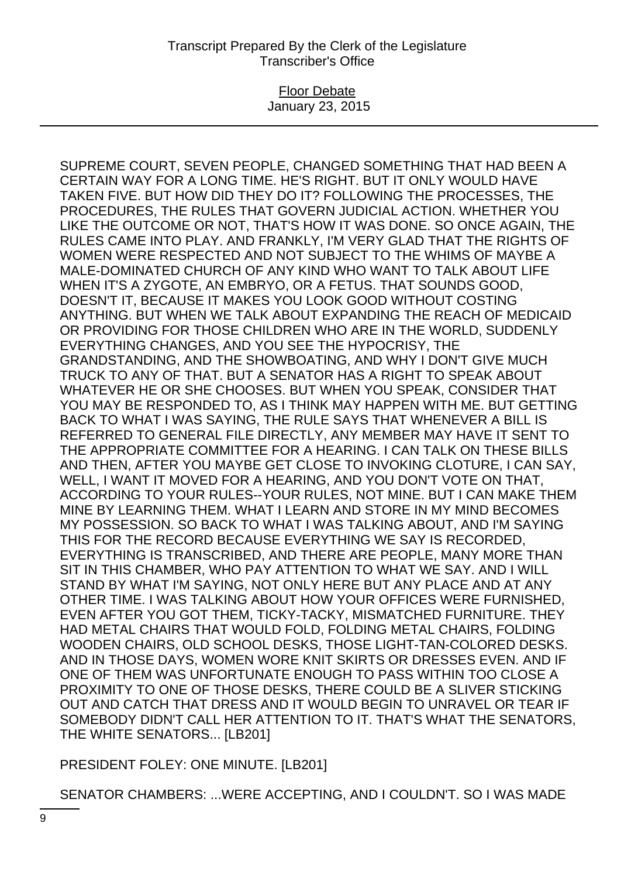### Floor Debate January 23, 2015

SUPREME COURT, SEVEN PEOPLE, CHANGED SOMETHING THAT HAD BEEN A CERTAIN WAY FOR A LONG TIME. HE'S RIGHT. BUT IT ONLY WOULD HAVE TAKEN FIVE. BUT HOW DID THEY DO IT? FOLLOWING THE PROCESSES, THE PROCEDURES, THE RULES THAT GOVERN JUDICIAL ACTION. WHETHER YOU LIKE THE OUTCOME OR NOT, THAT'S HOW IT WAS DONE. SO ONCE AGAIN, THE RULES CAME INTO PLAY. AND FRANKLY, I'M VERY GLAD THAT THE RIGHTS OF WOMEN WERE RESPECTED AND NOT SUBJECT TO THE WHIMS OF MAYBE A MALE-DOMINATED CHURCH OF ANY KIND WHO WANT TO TALK ABOUT LIFE WHEN IT'S A ZYGOTE, AN EMBRYO, OR A FETUS. THAT SOUNDS GOOD, DOESN'T IT, BECAUSE IT MAKES YOU LOOK GOOD WITHOUT COSTING ANYTHING. BUT WHEN WE TALK ABOUT EXPANDING THE REACH OF MEDICAID OR PROVIDING FOR THOSE CHILDREN WHO ARE IN THE WORLD, SUDDENLY EVERYTHING CHANGES, AND YOU SEE THE HYPOCRISY, THE GRANDSTANDING, AND THE SHOWBOATING, AND WHY I DON'T GIVE MUCH TRUCK TO ANY OF THAT. BUT A SENATOR HAS A RIGHT TO SPEAK ABOUT WHATEVER HE OR SHE CHOOSES. BUT WHEN YOU SPEAK, CONSIDER THAT YOU MAY BE RESPONDED TO, AS I THINK MAY HAPPEN WITH ME. BUT GETTING BACK TO WHAT I WAS SAYING, THE RULE SAYS THAT WHENEVER A BILL IS REFERRED TO GENERAL FILE DIRECTLY, ANY MEMBER MAY HAVE IT SENT TO THE APPROPRIATE COMMITTEE FOR A HEARING. I CAN TALK ON THESE BILLS AND THEN, AFTER YOU MAYBE GET CLOSE TO INVOKING CLOTURE, I CAN SAY, WELL, I WANT IT MOVED FOR A HEARING, AND YOU DON'T VOTE ON THAT, ACCORDING TO YOUR RULES--YOUR RULES, NOT MINE. BUT I CAN MAKE THEM MINE BY LEARNING THEM. WHAT I LEARN AND STORE IN MY MIND BECOMES MY POSSESSION. SO BACK TO WHAT I WAS TALKING ABOUT, AND I'M SAYING THIS FOR THE RECORD BECAUSE EVERYTHING WE SAY IS RECORDED, EVERYTHING IS TRANSCRIBED, AND THERE ARE PEOPLE, MANY MORE THAN SIT IN THIS CHAMBER, WHO PAY ATTENTION TO WHAT WE SAY. AND I WILL STAND BY WHAT I'M SAYING, NOT ONLY HERE BUT ANY PLACE AND AT ANY OTHER TIME. I WAS TALKING ABOUT HOW YOUR OFFICES WERE FURNISHED, EVEN AFTER YOU GOT THEM, TICKY-TACKY, MISMATCHED FURNITURE. THEY HAD METAL CHAIRS THAT WOULD FOLD, FOLDING METAL CHAIRS, FOLDING WOODEN CHAIRS, OLD SCHOOL DESKS, THOSE LIGHT-TAN-COLORED DESKS. AND IN THOSE DAYS, WOMEN WORE KNIT SKIRTS OR DRESSES EVEN. AND IF ONE OF THEM WAS UNFORTUNATE ENOUGH TO PASS WITHIN TOO CLOSE A PROXIMITY TO ONE OF THOSE DESKS, THERE COULD BE A SLIVER STICKING OUT AND CATCH THAT DRESS AND IT WOULD BEGIN TO UNRAVEL OR TEAR IF SOMEBODY DIDN'T CALL HER ATTENTION TO IT. THAT'S WHAT THE SENATORS, THE WHITE SENATORS... [LB201]

PRESIDENT FOLEY: ONE MINUTE. [LB201]

SENATOR CHAMBERS: ...WERE ACCEPTING, AND I COULDN'T. SO I WAS MADE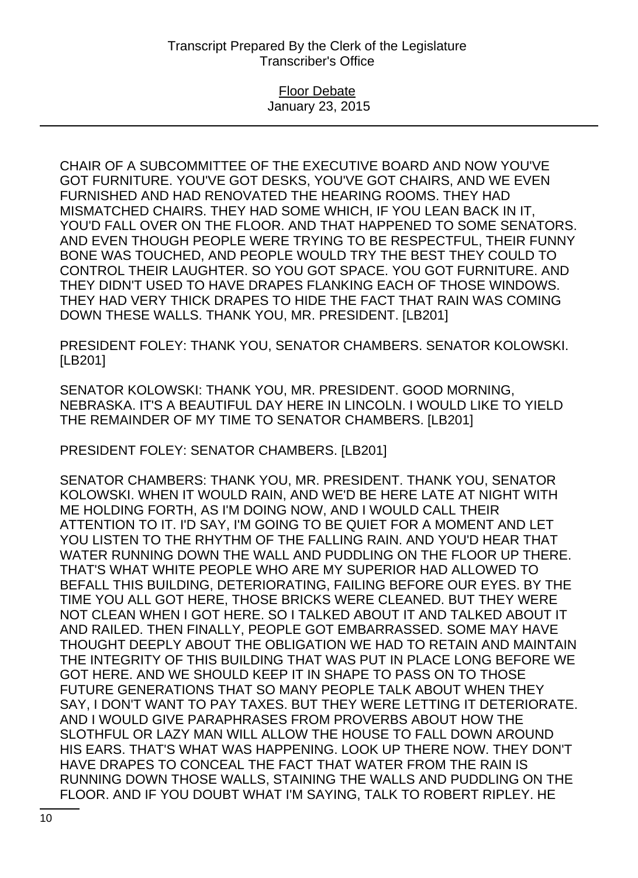CHAIR OF A SUBCOMMITTEE OF THE EXECUTIVE BOARD AND NOW YOU'VE GOT FURNITURE. YOU'VE GOT DESKS, YOU'VE GOT CHAIRS, AND WE EVEN FURNISHED AND HAD RENOVATED THE HEARING ROOMS. THEY HAD MISMATCHED CHAIRS. THEY HAD SOME WHICH, IF YOU LEAN BACK IN IT, YOU'D FALL OVER ON THE FLOOR. AND THAT HAPPENED TO SOME SENATORS. AND EVEN THOUGH PEOPLE WERE TRYING TO BE RESPECTFUL, THEIR FUNNY BONE WAS TOUCHED, AND PEOPLE WOULD TRY THE BEST THEY COULD TO CONTROL THEIR LAUGHTER. SO YOU GOT SPACE. YOU GOT FURNITURE. AND THEY DIDN'T USED TO HAVE DRAPES FLANKING EACH OF THOSE WINDOWS. THEY HAD VERY THICK DRAPES TO HIDE THE FACT THAT RAIN WAS COMING DOWN THESE WALLS. THANK YOU, MR. PRESIDENT. [LB201]

PRESIDENT FOLEY: THANK YOU, SENATOR CHAMBERS. SENATOR KOLOWSKI. [LB201]

SENATOR KOLOWSKI: THANK YOU, MR. PRESIDENT. GOOD MORNING, NEBRASKA. IT'S A BEAUTIFUL DAY HERE IN LINCOLN. I WOULD LIKE TO YIELD THE REMAINDER OF MY TIME TO SENATOR CHAMBERS. [LB201]

PRESIDENT FOLEY: SENATOR CHAMBERS. [LB201]

SENATOR CHAMBERS: THANK YOU, MR. PRESIDENT. THANK YOU, SENATOR KOLOWSKI. WHEN IT WOULD RAIN, AND WE'D BE HERE LATE AT NIGHT WITH ME HOLDING FORTH, AS I'M DOING NOW, AND I WOULD CALL THEIR ATTENTION TO IT. I'D SAY, I'M GOING TO BE QUIET FOR A MOMENT AND LET YOU LISTEN TO THE RHYTHM OF THE FALLING RAIN. AND YOU'D HEAR THAT WATER RUNNING DOWN THE WALL AND PUDDLING ON THE FLOOR UP THERE. THAT'S WHAT WHITE PEOPLE WHO ARE MY SUPERIOR HAD ALLOWED TO BEFALL THIS BUILDING, DETERIORATING, FAILING BEFORE OUR EYES. BY THE TIME YOU ALL GOT HERE, THOSE BRICKS WERE CLEANED. BUT THEY WERE NOT CLEAN WHEN I GOT HERE. SO I TALKED ABOUT IT AND TALKED ABOUT IT AND RAILED. THEN FINALLY, PEOPLE GOT EMBARRASSED. SOME MAY HAVE THOUGHT DEEPLY ABOUT THE OBLIGATION WE HAD TO RETAIN AND MAINTAIN THE INTEGRITY OF THIS BUILDING THAT WAS PUT IN PLACE LONG BEFORE WE GOT HERE. AND WE SHOULD KEEP IT IN SHAPE TO PASS ON TO THOSE FUTURE GENERATIONS THAT SO MANY PEOPLE TALK ABOUT WHEN THEY SAY, I DON'T WANT TO PAY TAXES. BUT THEY WERE LETTING IT DETERIORATE. AND I WOULD GIVE PARAPHRASES FROM PROVERBS ABOUT HOW THE SLOTHFUL OR LAZY MAN WILL ALLOW THE HOUSE TO FALL DOWN AROUND HIS EARS. THAT'S WHAT WAS HAPPENING. LOOK UP THERE NOW. THEY DON'T HAVE DRAPES TO CONCEAL THE FACT THAT WATER FROM THE RAIN IS RUNNING DOWN THOSE WALLS, STAINING THE WALLS AND PUDDLING ON THE FLOOR. AND IF YOU DOUBT WHAT I'M SAYING, TALK TO ROBERT RIPLEY. HE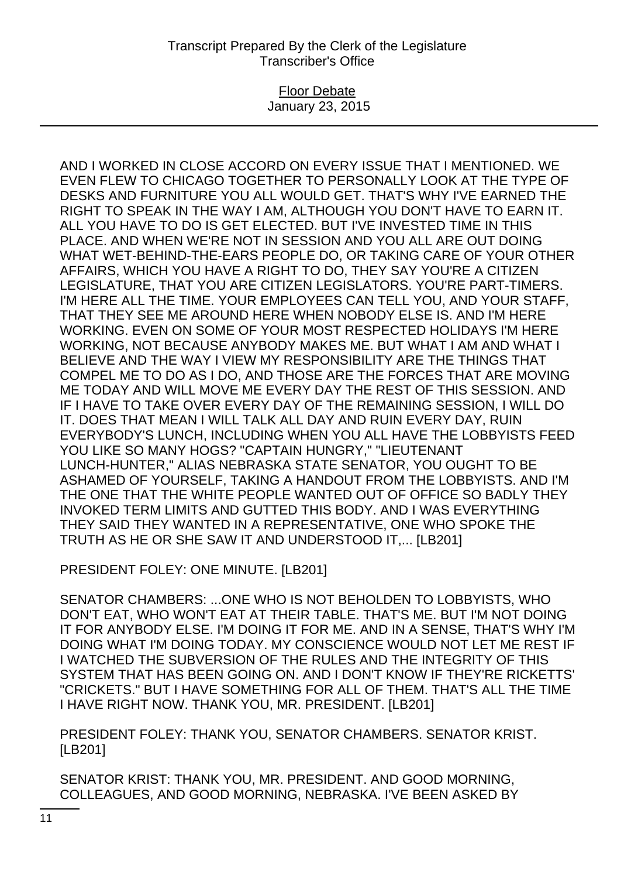### Floor Debate January 23, 2015

AND I WORKED IN CLOSE ACCORD ON EVERY ISSUE THAT I MENTIONED. WE EVEN FLEW TO CHICAGO TOGETHER TO PERSONALLY LOOK AT THE TYPE OF DESKS AND FURNITURE YOU ALL WOULD GET. THAT'S WHY I'VE EARNED THE RIGHT TO SPEAK IN THE WAY I AM, ALTHOUGH YOU DON'T HAVE TO EARN IT. ALL YOU HAVE TO DO IS GET ELECTED. BUT I'VE INVESTED TIME IN THIS PLACE. AND WHEN WE'RE NOT IN SESSION AND YOU ALL ARE OUT DOING WHAT WET-BEHIND-THE-EARS PEOPLE DO, OR TAKING CARE OF YOUR OTHER AFFAIRS, WHICH YOU HAVE A RIGHT TO DO, THEY SAY YOU'RE A CITIZEN LEGISLATURE, THAT YOU ARE CITIZEN LEGISLATORS. YOU'RE PART-TIMERS. I'M HERE ALL THE TIME. YOUR EMPLOYEES CAN TELL YOU, AND YOUR STAFF, THAT THEY SEE ME AROUND HERE WHEN NOBODY ELSE IS. AND I'M HERE WORKING. EVEN ON SOME OF YOUR MOST RESPECTED HOLIDAYS I'M HERE WORKING, NOT BECAUSE ANYBODY MAKES ME. BUT WHAT I AM AND WHAT I BELIEVE AND THE WAY I VIEW MY RESPONSIBILITY ARE THE THINGS THAT COMPEL ME TO DO AS I DO, AND THOSE ARE THE FORCES THAT ARE MOVING ME TODAY AND WILL MOVE ME EVERY DAY THE REST OF THIS SESSION. AND IF I HAVE TO TAKE OVER EVERY DAY OF THE REMAINING SESSION, I WILL DO IT. DOES THAT MEAN I WILL TALK ALL DAY AND RUIN EVERY DAY, RUIN EVERYBODY'S LUNCH, INCLUDING WHEN YOU ALL HAVE THE LOBBYISTS FEED YOU LIKE SO MANY HOGS? "CAPTAIN HUNGRY," "LIEUTENANT LUNCH-HUNTER," ALIAS NEBRASKA STATE SENATOR, YOU OUGHT TO BE ASHAMED OF YOURSELF, TAKING A HANDOUT FROM THE LOBBYISTS. AND I'M THE ONE THAT THE WHITE PEOPLE WANTED OUT OF OFFICE SO BADLY THEY INVOKED TERM LIMITS AND GUTTED THIS BODY. AND I WAS EVERYTHING THEY SAID THEY WANTED IN A REPRESENTATIVE, ONE WHO SPOKE THE TRUTH AS HE OR SHE SAW IT AND UNDERSTOOD IT,... [LB201]

PRESIDENT FOLEY: ONE MINUTE. [LB201]

SENATOR CHAMBERS: ...ONE WHO IS NOT BEHOLDEN TO LOBBYISTS, WHO DON'T EAT, WHO WON'T EAT AT THEIR TABLE. THAT'S ME. BUT I'M NOT DOING IT FOR ANYBODY ELSE. I'M DOING IT FOR ME. AND IN A SENSE, THAT'S WHY I'M DOING WHAT I'M DOING TODAY. MY CONSCIENCE WOULD NOT LET ME REST IF I WATCHED THE SUBVERSION OF THE RULES AND THE INTEGRITY OF THIS SYSTEM THAT HAS BEEN GOING ON. AND I DON'T KNOW IF THEY'RE RICKETTS' "CRICKETS." BUT I HAVE SOMETHING FOR ALL OF THEM. THAT'S ALL THE TIME I HAVE RIGHT NOW. THANK YOU, MR. PRESIDENT. [LB201]

PRESIDENT FOLEY: THANK YOU, SENATOR CHAMBERS. SENATOR KRIST. [LB201]

SENATOR KRIST: THANK YOU, MR. PRESIDENT. AND GOOD MORNING, COLLEAGUES, AND GOOD MORNING, NEBRASKA. I'VE BEEN ASKED BY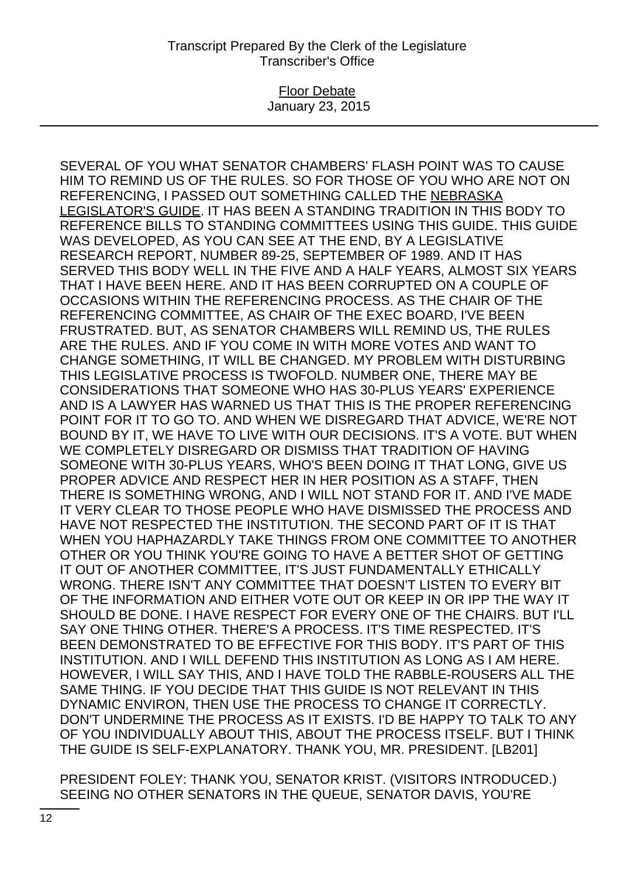#### Floor Debate January 23, 2015

SEVERAL OF YOU WHAT SENATOR CHAMBERS' FLASH POINT WAS TO CAUSE HIM TO REMIND US OF THE RULES. SO FOR THOSE OF YOU WHO ARE NOT ON REFERENCING, I PASSED OUT SOMETHING CALLED THE NEBRASKA LEGISLATOR'S GUIDE. IT HAS BEEN A STANDING TRADITION IN THIS BODY TO REFERENCE BILLS TO STANDING COMMITTEES USING THIS GUIDE. THIS GUIDE WAS DEVELOPED, AS YOU CAN SEE AT THE END, BY A LEGISLATIVE RESEARCH REPORT, NUMBER 89-25, SEPTEMBER OF 1989. AND IT HAS SERVED THIS BODY WELL IN THE FIVE AND A HALF YEARS, ALMOST SIX YEARS THAT I HAVE BEEN HERE. AND IT HAS BEEN CORRUPTED ON A COUPLE OF OCCASIONS WITHIN THE REFERENCING PROCESS. AS THE CHAIR OF THE REFERENCING COMMITTEE, AS CHAIR OF THE EXEC BOARD, I'VE BEEN FRUSTRATED. BUT, AS SENATOR CHAMBERS WILL REMIND US, THE RULES ARE THE RULES. AND IF YOU COME IN WITH MORE VOTES AND WANT TO CHANGE SOMETHING, IT WILL BE CHANGED. MY PROBLEM WITH DISTURBING THIS LEGISLATIVE PROCESS IS TWOFOLD. NUMBER ONE, THERE MAY BE CONSIDERATIONS THAT SOMEONE WHO HAS 30-PLUS YEARS' EXPERIENCE AND IS A LAWYER HAS WARNED US THAT THIS IS THE PROPER REFERENCING POINT FOR IT TO GO TO. AND WHEN WE DISREGARD THAT ADVICE, WE'RE NOT BOUND BY IT, WE HAVE TO LIVE WITH OUR DECISIONS. IT'S A VOTE. BUT WHEN WE COMPLETELY DISREGARD OR DISMISS THAT TRADITION OF HAVING SOMEONE WITH 30-PLUS YEARS, WHO'S BEEN DOING IT THAT LONG, GIVE US PROPER ADVICE AND RESPECT HER IN HER POSITION AS A STAFF, THEN THERE IS SOMETHING WRONG, AND I WILL NOT STAND FOR IT. AND I'VE MADE IT VERY CLEAR TO THOSE PEOPLE WHO HAVE DISMISSED THE PROCESS AND HAVE NOT RESPECTED THE INSTITUTION. THE SECOND PART OF IT IS THAT WHEN YOU HAPHAZARDLY TAKE THINGS FROM ONE COMMITTEE TO ANOTHER OTHER OR YOU THINK YOU'RE GOING TO HAVE A BETTER SHOT OF GETTING IT OUT OF ANOTHER COMMITTEE, IT'S JUST FUNDAMENTALLY ETHICALLY WRONG. THERE ISN'T ANY COMMITTEE THAT DOESN'T LISTEN TO EVERY BIT OF THE INFORMATION AND EITHER VOTE OUT OR KEEP IN OR IPP THE WAY IT SHOULD BE DONE. I HAVE RESPECT FOR EVERY ONE OF THE CHAIRS. BUT I'LL SAY ONE THING OTHER. THERE'S A PROCESS. IT'S TIME RESPECTED. IT'S BEEN DEMONSTRATED TO BE EFFECTIVE FOR THIS BODY. IT'S PART OF THIS INSTITUTION. AND I WILL DEFEND THIS INSTITUTION AS LONG AS I AM HERE. HOWEVER, I WILL SAY THIS, AND I HAVE TOLD THE RABBLE-ROUSERS ALL THE SAME THING. IF YOU DECIDE THAT THIS GUIDE IS NOT RELEVANT IN THIS DYNAMIC ENVIRON, THEN USE THE PROCESS TO CHANGE IT CORRECTLY. DON'T UNDERMINE THE PROCESS AS IT EXISTS. I'D BE HAPPY TO TALK TO ANY OF YOU INDIVIDUALLY ABOUT THIS, ABOUT THE PROCESS ITSELF. BUT I THINK THE GUIDE IS SELF-EXPLANATORY. THANK YOU, MR. PRESIDENT. [LB201]

PRESIDENT FOLEY: THANK YOU, SENATOR KRIST. (VISITORS INTRODUCED.) SEEING NO OTHER SENATORS IN THE QUEUE, SENATOR DAVIS, YOU'RE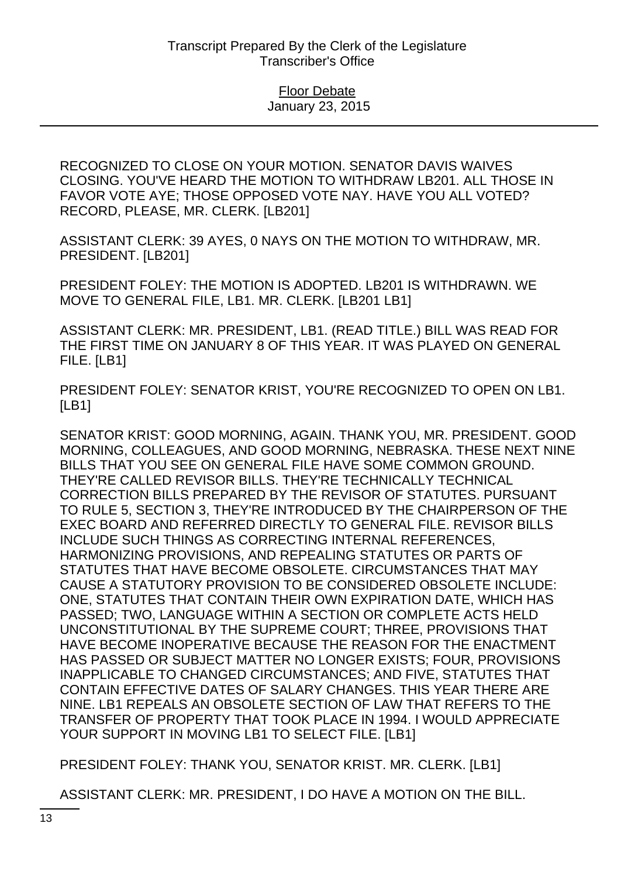RECOGNIZED TO CLOSE ON YOUR MOTION. SENATOR DAVIS WAIVES CLOSING. YOU'VE HEARD THE MOTION TO WITHDRAW LB201. ALL THOSE IN FAVOR VOTE AYE; THOSE OPPOSED VOTE NAY. HAVE YOU ALL VOTED? RECORD, PLEASE, MR. CLERK. [LB201]

ASSISTANT CLERK: 39 AYES, 0 NAYS ON THE MOTION TO WITHDRAW, MR. PRESIDENT. [LB201]

PRESIDENT FOLEY: THE MOTION IS ADOPTED. LB201 IS WITHDRAWN. WE MOVE TO GENERAL FILE, LB1. MR. CLERK. [LB201 LB1]

ASSISTANT CLERK: MR. PRESIDENT, LB1. (READ TITLE.) BILL WAS READ FOR THE FIRST TIME ON JANUARY 8 OF THIS YEAR. IT WAS PLAYED ON GENERAL FILE. [LB1]

PRESIDENT FOLEY: SENATOR KRIST, YOU'RE RECOGNIZED TO OPEN ON LB1. [LB1]

SENATOR KRIST: GOOD MORNING, AGAIN. THANK YOU, MR. PRESIDENT. GOOD MORNING, COLLEAGUES, AND GOOD MORNING, NEBRASKA. THESE NEXT NINE BILLS THAT YOU SEE ON GENERAL FILE HAVE SOME COMMON GROUND. THEY'RE CALLED REVISOR BILLS. THEY'RE TECHNICALLY TECHNICAL CORRECTION BILLS PREPARED BY THE REVISOR OF STATUTES. PURSUANT TO RULE 5, SECTION 3, THEY'RE INTRODUCED BY THE CHAIRPERSON OF THE EXEC BOARD AND REFERRED DIRECTLY TO GENERAL FILE. REVISOR BILLS INCLUDE SUCH THINGS AS CORRECTING INTERNAL REFERENCES, HARMONIZING PROVISIONS, AND REPEALING STATUTES OR PARTS OF STATUTES THAT HAVE BECOME OBSOLETE. CIRCUMSTANCES THAT MAY CAUSE A STATUTORY PROVISION TO BE CONSIDERED OBSOLETE INCLUDE: ONE, STATUTES THAT CONTAIN THEIR OWN EXPIRATION DATE, WHICH HAS PASSED; TWO, LANGUAGE WITHIN A SECTION OR COMPLETE ACTS HELD UNCONSTITUTIONAL BY THE SUPREME COURT; THREE, PROVISIONS THAT HAVE BECOME INOPERATIVE BECAUSE THE REASON FOR THE ENACTMENT HAS PASSED OR SUBJECT MATTER NO LONGER EXISTS; FOUR, PROVISIONS INAPPLICABLE TO CHANGED CIRCUMSTANCES; AND FIVE, STATUTES THAT CONTAIN EFFECTIVE DATES OF SALARY CHANGES. THIS YEAR THERE ARE NINE. LB1 REPEALS AN OBSOLETE SECTION OF LAW THAT REFERS TO THE TRANSFER OF PROPERTY THAT TOOK PLACE IN 1994. I WOULD APPRECIATE YOUR SUPPORT IN MOVING LB1 TO SELECT FILE. [LB1]

PRESIDENT FOLEY: THANK YOU, SENATOR KRIST. MR. CLERK. [LB1]

ASSISTANT CLERK: MR. PRESIDENT, I DO HAVE A MOTION ON THE BILL.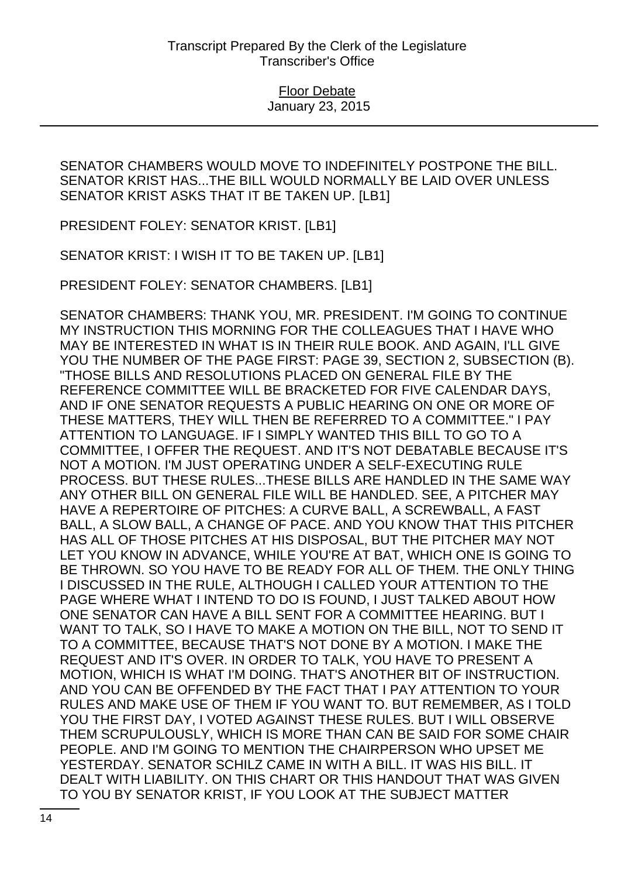SENATOR CHAMBERS WOULD MOVE TO INDEFINITELY POSTPONE THE BILL. SENATOR KRIST HAS...THE BILL WOULD NORMALLY BE LAID OVER UNLESS SENATOR KRIST ASKS THAT IT BE TAKEN UP. [LB1]

PRESIDENT FOLEY: SENATOR KRIST. [LB1]

SENATOR KRIST: I WISH IT TO BE TAKEN UP. [LB1]

PRESIDENT FOLEY: SENATOR CHAMBERS. [LB1]

SENATOR CHAMBERS: THANK YOU, MR. PRESIDENT. I'M GOING TO CONTINUE MY INSTRUCTION THIS MORNING FOR THE COLLEAGUES THAT I HAVE WHO MAY BE INTERESTED IN WHAT IS IN THEIR RULE BOOK. AND AGAIN, I'LL GIVE YOU THE NUMBER OF THE PAGE FIRST: PAGE 39, SECTION 2, SUBSECTION (B). "THOSE BILLS AND RESOLUTIONS PLACED ON GENERAL FILE BY THE REFERENCE COMMITTEE WILL BE BRACKETED FOR FIVE CALENDAR DAYS, AND IF ONE SENATOR REQUESTS A PUBLIC HEARING ON ONE OR MORE OF THESE MATTERS, THEY WILL THEN BE REFERRED TO A COMMITTEE." I PAY ATTENTION TO LANGUAGE. IF I SIMPLY WANTED THIS BILL TO GO TO A COMMITTEE, I OFFER THE REQUEST. AND IT'S NOT DEBATABLE BECAUSE IT'S NOT A MOTION. I'M JUST OPERATING UNDER A SELF-EXECUTING RULE PROCESS. BUT THESE RULES...THESE BILLS ARE HANDLED IN THE SAME WAY ANY OTHER BILL ON GENERAL FILE WILL BE HANDLED. SEE, A PITCHER MAY HAVE A REPERTOIRE OF PITCHES: A CURVE BALL, A SCREWBALL, A FAST BALL, A SLOW BALL, A CHANGE OF PACE. AND YOU KNOW THAT THIS PITCHER HAS ALL OF THOSE PITCHES AT HIS DISPOSAL, BUT THE PITCHER MAY NOT LET YOU KNOW IN ADVANCE, WHILE YOU'RE AT BAT, WHICH ONE IS GOING TO BE THROWN. SO YOU HAVE TO BE READY FOR ALL OF THEM. THE ONLY THING I DISCUSSED IN THE RULE, ALTHOUGH I CALLED YOUR ATTENTION TO THE PAGE WHERE WHAT I INTEND TO DO IS FOUND, I JUST TALKED ABOUT HOW ONE SENATOR CAN HAVE A BILL SENT FOR A COMMITTEE HEARING. BUT I WANT TO TALK, SO I HAVE TO MAKE A MOTION ON THE BILL, NOT TO SEND IT TO A COMMITTEE, BECAUSE THAT'S NOT DONE BY A MOTION. I MAKE THE REQUEST AND IT'S OVER. IN ORDER TO TALK, YOU HAVE TO PRESENT A MOTION, WHICH IS WHAT I'M DOING. THAT'S ANOTHER BIT OF INSTRUCTION. AND YOU CAN BE OFFENDED BY THE FACT THAT I PAY ATTENTION TO YOUR RULES AND MAKE USE OF THEM IF YOU WANT TO. BUT REMEMBER, AS I TOLD YOU THE FIRST DAY, I VOTED AGAINST THESE RULES. BUT I WILL OBSERVE THEM SCRUPULOUSLY, WHICH IS MORE THAN CAN BE SAID FOR SOME CHAIR PEOPLE. AND I'M GOING TO MENTION THE CHAIRPERSON WHO UPSET ME YESTERDAY. SENATOR SCHILZ CAME IN WITH A BILL. IT WAS HIS BILL. IT DEALT WITH LIABILITY. ON THIS CHART OR THIS HANDOUT THAT WAS GIVEN TO YOU BY SENATOR KRIST, IF YOU LOOK AT THE SUBJECT MATTER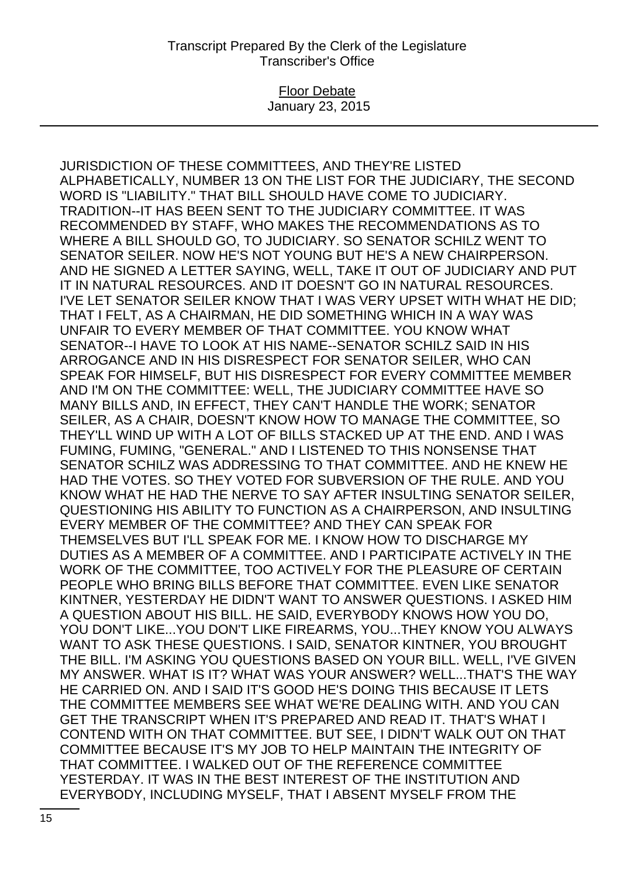Floor Debate January 23, 2015

JURISDICTION OF THESE COMMITTEES, AND THEY'RE LISTED ALPHABETICALLY, NUMBER 13 ON THE LIST FOR THE JUDICIARY, THE SECOND WORD IS "LIABILITY." THAT BILL SHOULD HAVE COME TO JUDICIARY. TRADITION--IT HAS BEEN SENT TO THE JUDICIARY COMMITTEE. IT WAS RECOMMENDED BY STAFF, WHO MAKES THE RECOMMENDATIONS AS TO WHERE A BILL SHOULD GO, TO JUDICIARY. SO SENATOR SCHILZ WENT TO SENATOR SEILER. NOW HE'S NOT YOUNG BUT HE'S A NEW CHAIRPERSON. AND HE SIGNED A LETTER SAYING, WELL, TAKE IT OUT OF JUDICIARY AND PUT IT IN NATURAL RESOURCES. AND IT DOESN'T GO IN NATURAL RESOURCES. I'VE LET SENATOR SEILER KNOW THAT I WAS VERY UPSET WITH WHAT HE DID; THAT I FELT, AS A CHAIRMAN, HE DID SOMETHING WHICH IN A WAY WAS UNFAIR TO EVERY MEMBER OF THAT COMMITTEE. YOU KNOW WHAT SENATOR--I HAVE TO LOOK AT HIS NAME--SENATOR SCHILZ SAID IN HIS ARROGANCE AND IN HIS DISRESPECT FOR SENATOR SEILER, WHO CAN SPEAK FOR HIMSELF, BUT HIS DISRESPECT FOR EVERY COMMITTEE MEMBER AND I'M ON THE COMMITTEE: WELL, THE JUDICIARY COMMITTEE HAVE SO MANY BILLS AND, IN EFFECT, THEY CAN'T HANDLE THE WORK; SENATOR SEILER, AS A CHAIR, DOESN'T KNOW HOW TO MANAGE THE COMMITTEE, SO THEY'LL WIND UP WITH A LOT OF BILLS STACKED UP AT THE END. AND I WAS FUMING, FUMING, "GENERAL." AND I LISTENED TO THIS NONSENSE THAT SENATOR SCHILZ WAS ADDRESSING TO THAT COMMITTEE. AND HE KNEW HE HAD THE VOTES. SO THEY VOTED FOR SUBVERSION OF THE RULE. AND YOU KNOW WHAT HE HAD THE NERVE TO SAY AFTER INSULTING SENATOR SEILER, QUESTIONING HIS ABILITY TO FUNCTION AS A CHAIRPERSON, AND INSULTING EVERY MEMBER OF THE COMMITTEE? AND THEY CAN SPEAK FOR THEMSELVES BUT I'LL SPEAK FOR ME. I KNOW HOW TO DISCHARGE MY DUTIES AS A MEMBER OF A COMMITTEE. AND I PARTICIPATE ACTIVELY IN THE WORK OF THE COMMITTEE, TOO ACTIVELY FOR THE PLEASURE OF CERTAIN PEOPLE WHO BRING BILLS BEFORE THAT COMMITTEE. EVEN LIKE SENATOR KINTNER, YESTERDAY HE DIDN'T WANT TO ANSWER QUESTIONS. I ASKED HIM A QUESTION ABOUT HIS BILL. HE SAID, EVERYBODY KNOWS HOW YOU DO, YOU DON'T LIKE...YOU DON'T LIKE FIREARMS, YOU...THEY KNOW YOU ALWAYS WANT TO ASK THESE QUESTIONS. I SAID, SENATOR KINTNER, YOU BROUGHT THE BILL. I'M ASKING YOU QUESTIONS BASED ON YOUR BILL. WELL, I'VE GIVEN MY ANSWER. WHAT IS IT? WHAT WAS YOUR ANSWER? WELL...THAT'S THE WAY HE CARRIED ON. AND I SAID IT'S GOOD HE'S DOING THIS BECAUSE IT LETS THE COMMITTEE MEMBERS SEE WHAT WE'RE DEALING WITH. AND YOU CAN GET THE TRANSCRIPT WHEN IT'S PREPARED AND READ IT. THAT'S WHAT I CONTEND WITH ON THAT COMMITTEE. BUT SEE, I DIDN'T WALK OUT ON THAT COMMITTEE BECAUSE IT'S MY JOB TO HELP MAINTAIN THE INTEGRITY OF THAT COMMITTEE. I WALKED OUT OF THE REFERENCE COMMITTEE YESTERDAY. IT WAS IN THE BEST INTEREST OF THE INSTITUTION AND EVERYBODY, INCLUDING MYSELF, THAT I ABSENT MYSELF FROM THE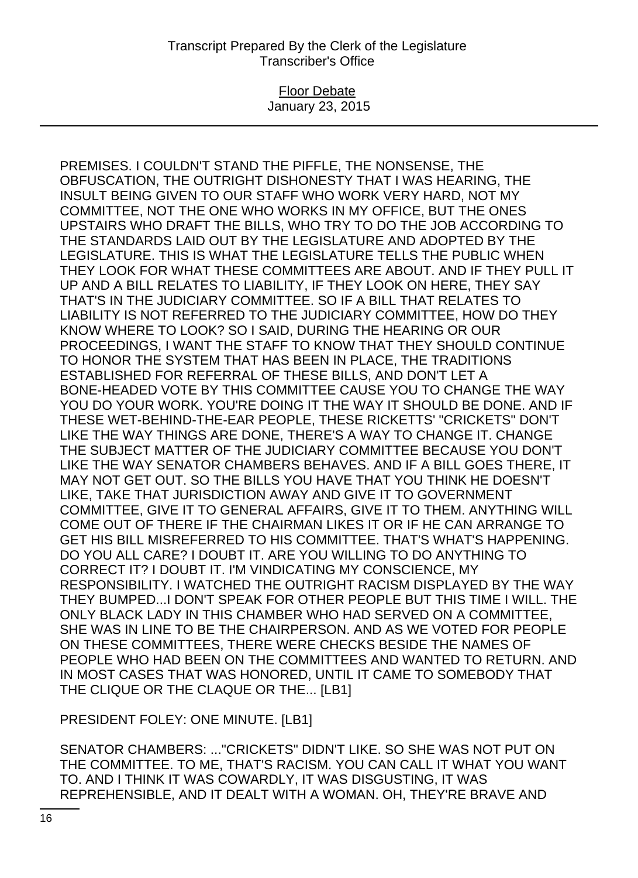### Floor Debate January 23, 2015

PREMISES. I COULDN'T STAND THE PIFFLE, THE NONSENSE, THE OBFUSCATION, THE OUTRIGHT DISHONESTY THAT I WAS HEARING, THE INSULT BEING GIVEN TO OUR STAFF WHO WORK VERY HARD, NOT MY COMMITTEE, NOT THE ONE WHO WORKS IN MY OFFICE, BUT THE ONES UPSTAIRS WHO DRAFT THE BILLS, WHO TRY TO DO THE JOB ACCORDING TO THE STANDARDS LAID OUT BY THE LEGISLATURE AND ADOPTED BY THE LEGISLATURE. THIS IS WHAT THE LEGISLATURE TELLS THE PUBLIC WHEN THEY LOOK FOR WHAT THESE COMMITTEES ARE ABOUT. AND IF THEY PULL IT UP AND A BILL RELATES TO LIABILITY, IF THEY LOOK ON HERE, THEY SAY THAT'S IN THE JUDICIARY COMMITTEE. SO IF A BILL THAT RELATES TO LIABILITY IS NOT REFERRED TO THE JUDICIARY COMMITTEE, HOW DO THEY KNOW WHERE TO LOOK? SO I SAID, DURING THE HEARING OR OUR PROCEEDINGS, I WANT THE STAFF TO KNOW THAT THEY SHOULD CONTINUE TO HONOR THE SYSTEM THAT HAS BEEN IN PLACE, THE TRADITIONS ESTABLISHED FOR REFERRAL OF THESE BILLS, AND DON'T LET A BONE-HEADED VOTE BY THIS COMMITTEE CAUSE YOU TO CHANGE THE WAY YOU DO YOUR WORK. YOU'RE DOING IT THE WAY IT SHOULD BE DONE. AND IF THESE WET-BEHIND-THE-EAR PEOPLE, THESE RICKETTS' "CRICKETS" DON'T LIKE THE WAY THINGS ARE DONE, THERE'S A WAY TO CHANGE IT. CHANGE THE SUBJECT MATTER OF THE JUDICIARY COMMITTEE BECAUSE YOU DON'T LIKE THE WAY SENATOR CHAMBERS BEHAVES. AND IF A BILL GOES THERE, IT MAY NOT GET OUT. SO THE BILLS YOU HAVE THAT YOU THINK HE DOESN'T LIKE, TAKE THAT JURISDICTION AWAY AND GIVE IT TO GOVERNMENT COMMITTEE, GIVE IT TO GENERAL AFFAIRS, GIVE IT TO THEM. ANYTHING WILL COME OUT OF THERE IF THE CHAIRMAN LIKES IT OR IF HE CAN ARRANGE TO GET HIS BILL MISREFERRED TO HIS COMMITTEE. THAT'S WHAT'S HAPPENING. DO YOU ALL CARE? I DOUBT IT. ARE YOU WILLING TO DO ANYTHING TO CORRECT IT? I DOUBT IT. I'M VINDICATING MY CONSCIENCE, MY RESPONSIBILITY. I WATCHED THE OUTRIGHT RACISM DISPLAYED BY THE WAY THEY BUMPED...I DON'T SPEAK FOR OTHER PEOPLE BUT THIS TIME I WILL. THE ONLY BLACK LADY IN THIS CHAMBER WHO HAD SERVED ON A COMMITTEE, SHE WAS IN LINE TO BE THE CHAIRPERSON. AND AS WE VOTED FOR PEOPLE ON THESE COMMITTEES, THERE WERE CHECKS BESIDE THE NAMES OF PEOPLE WHO HAD BEEN ON THE COMMITTEES AND WANTED TO RETURN. AND IN MOST CASES THAT WAS HONORED, UNTIL IT CAME TO SOMEBODY THAT THE CLIQUE OR THE CLAQUE OR THE... [LB1]

PRESIDENT FOLEY: ONE MINUTE. [LB1]

SENATOR CHAMBERS: ..."CRICKETS" DIDN'T LIKE. SO SHE WAS NOT PUT ON THE COMMITTEE. TO ME, THAT'S RACISM. YOU CAN CALL IT WHAT YOU WANT TO. AND I THINK IT WAS COWARDLY, IT WAS DISGUSTING, IT WAS REPREHENSIBLE, AND IT DEALT WITH A WOMAN. OH, THEY'RE BRAVE AND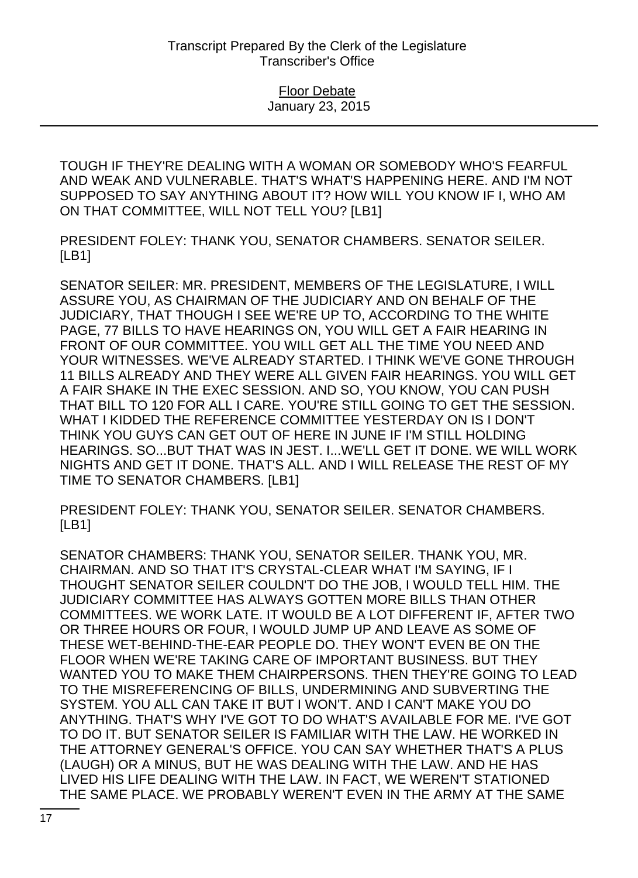TOUGH IF THEY'RE DEALING WITH A WOMAN OR SOMEBODY WHO'S FEARFUL AND WEAK AND VULNERABLE. THAT'S WHAT'S HAPPENING HERE. AND I'M NOT SUPPOSED TO SAY ANYTHING ABOUT IT? HOW WILL YOU KNOW IF I, WHO AM ON THAT COMMITTEE, WILL NOT TELL YOU? [LB1]

PRESIDENT FOLEY: THANK YOU, SENATOR CHAMBERS. SENATOR SEILER. [LB1]

SENATOR SEILER: MR. PRESIDENT, MEMBERS OF THE LEGISLATURE, I WILL ASSURE YOU, AS CHAIRMAN OF THE JUDICIARY AND ON BEHALF OF THE JUDICIARY, THAT THOUGH I SEE WE'RE UP TO, ACCORDING TO THE WHITE PAGE, 77 BILLS TO HAVE HEARINGS ON, YOU WILL GET A FAIR HEARING IN FRONT OF OUR COMMITTEE. YOU WILL GET ALL THE TIME YOU NEED AND YOUR WITNESSES. WE'VE ALREADY STARTED. I THINK WE'VE GONE THROUGH 11 BILLS ALREADY AND THEY WERE ALL GIVEN FAIR HEARINGS. YOU WILL GET A FAIR SHAKE IN THE EXEC SESSION. AND SO, YOU KNOW, YOU CAN PUSH THAT BILL TO 120 FOR ALL I CARE. YOU'RE STILL GOING TO GET THE SESSION. WHAT I KIDDED THE REFERENCE COMMITTEE YESTERDAY ON IS I DON'T THINK YOU GUYS CAN GET OUT OF HERE IN JUNE IF I'M STILL HOLDING HEARINGS. SO...BUT THAT WAS IN JEST. I...WE'LL GET IT DONE. WE WILL WORK NIGHTS AND GET IT DONE. THAT'S ALL. AND I WILL RELEASE THE REST OF MY TIME TO SENATOR CHAMBERS. [LB1]

PRESIDENT FOLEY: THANK YOU, SENATOR SEILER. SENATOR CHAMBERS. [LB1]

SENATOR CHAMBERS: THANK YOU, SENATOR SEILER. THANK YOU, MR. CHAIRMAN. AND SO THAT IT'S CRYSTAL-CLEAR WHAT I'M SAYING, IF I THOUGHT SENATOR SEILER COULDN'T DO THE JOB, I WOULD TELL HIM. THE JUDICIARY COMMITTEE HAS ALWAYS GOTTEN MORE BILLS THAN OTHER COMMITTEES. WE WORK LATE. IT WOULD BE A LOT DIFFERENT IF, AFTER TWO OR THREE HOURS OR FOUR, I WOULD JUMP UP AND LEAVE AS SOME OF THESE WET-BEHIND-THE-EAR PEOPLE DO. THEY WON'T EVEN BE ON THE FLOOR WHEN WE'RE TAKING CARE OF IMPORTANT BUSINESS. BUT THEY WANTED YOU TO MAKE THEM CHAIRPERSONS. THEN THEY'RE GOING TO LEAD TO THE MISREFERENCING OF BILLS, UNDERMINING AND SUBVERTING THE SYSTEM. YOU ALL CAN TAKE IT BUT I WON'T. AND I CAN'T MAKE YOU DO ANYTHING. THAT'S WHY I'VE GOT TO DO WHAT'S AVAILABLE FOR ME. I'VE GOT TO DO IT. BUT SENATOR SEILER IS FAMILIAR WITH THE LAW. HE WORKED IN THE ATTORNEY GENERAL'S OFFICE. YOU CAN SAY WHETHER THAT'S A PLUS (LAUGH) OR A MINUS, BUT HE WAS DEALING WITH THE LAW. AND HE HAS LIVED HIS LIFE DEALING WITH THE LAW. IN FACT, WE WEREN'T STATIONED THE SAME PLACE. WE PROBABLY WEREN'T EVEN IN THE ARMY AT THE SAME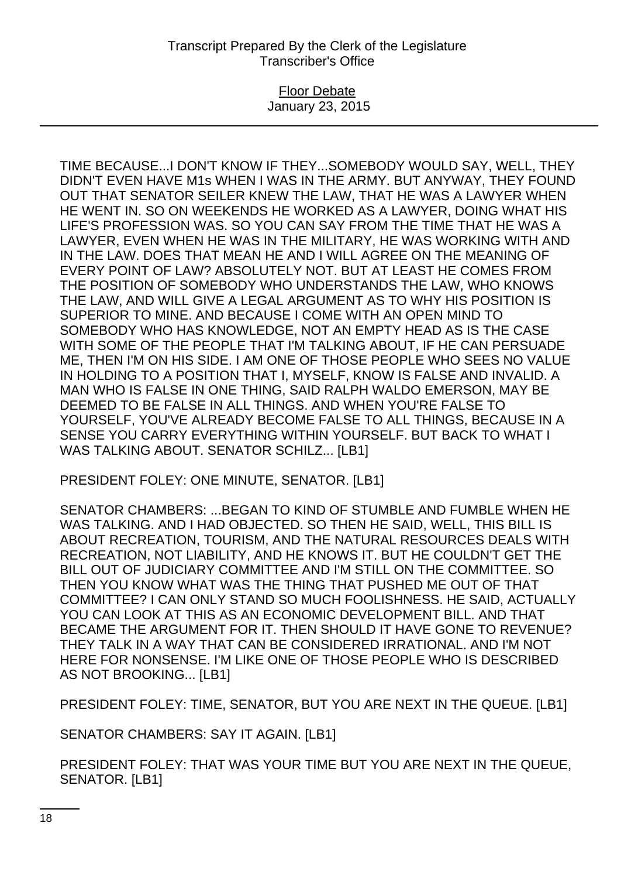### Floor Debate January 23, 2015

TIME BECAUSE...I DON'T KNOW IF THEY...SOMEBODY WOULD SAY, WELL, THEY DIDN'T EVEN HAVE M1s WHEN I WAS IN THE ARMY. BUT ANYWAY, THEY FOUND OUT THAT SENATOR SEILER KNEW THE LAW, THAT HE WAS A LAWYER WHEN HE WENT IN. SO ON WEEKENDS HE WORKED AS A LAWYER, DOING WHAT HIS LIFE'S PROFESSION WAS. SO YOU CAN SAY FROM THE TIME THAT HE WAS A LAWYER, EVEN WHEN HE WAS IN THE MILITARY, HE WAS WORKING WITH AND IN THE LAW. DOES THAT MEAN HE AND I WILL AGREE ON THE MEANING OF EVERY POINT OF LAW? ABSOLUTELY NOT. BUT AT LEAST HE COMES FROM THE POSITION OF SOMEBODY WHO UNDERSTANDS THE LAW, WHO KNOWS THE LAW, AND WILL GIVE A LEGAL ARGUMENT AS TO WHY HIS POSITION IS SUPERIOR TO MINE. AND BECAUSE I COME WITH AN OPEN MIND TO SOMEBODY WHO HAS KNOWLEDGE, NOT AN EMPTY HEAD AS IS THE CASE WITH SOME OF THE PEOPLE THAT I'M TALKING ABOUT, IF HE CAN PERSUADE ME, THEN I'M ON HIS SIDE. I AM ONE OF THOSE PEOPLE WHO SEES NO VALUE IN HOLDING TO A POSITION THAT I, MYSELF, KNOW IS FALSE AND INVALID. A MAN WHO IS FALSE IN ONE THING, SAID RALPH WALDO EMERSON, MAY BE DEEMED TO BE FALSE IN ALL THINGS. AND WHEN YOU'RE FALSE TO YOURSELF, YOU'VE ALREADY BECOME FALSE TO ALL THINGS, BECAUSE IN A SENSE YOU CARRY EVERYTHING WITHIN YOURSELF. BUT BACK TO WHAT I WAS TALKING ABOUT. SENATOR SCHILZ... [LB1]

PRESIDENT FOLEY: ONE MINUTE, SENATOR. [LB1]

SENATOR CHAMBERS: ...BEGAN TO KIND OF STUMBLE AND FUMBLE WHEN HE WAS TALKING. AND I HAD OBJECTED. SO THEN HE SAID, WELL, THIS BILL IS ABOUT RECREATION, TOURISM, AND THE NATURAL RESOURCES DEALS WITH RECREATION, NOT LIABILITY, AND HE KNOWS IT. BUT HE COULDN'T GET THE BILL OUT OF JUDICIARY COMMITTEE AND I'M STILL ON THE COMMITTEE. SO THEN YOU KNOW WHAT WAS THE THING THAT PUSHED ME OUT OF THAT COMMITTEE? I CAN ONLY STAND SO MUCH FOOLISHNESS. HE SAID, ACTUALLY YOU CAN LOOK AT THIS AS AN ECONOMIC DEVELOPMENT BILL. AND THAT BECAME THE ARGUMENT FOR IT. THEN SHOULD IT HAVE GONE TO REVENUE? THEY TALK IN A WAY THAT CAN BE CONSIDERED IRRATIONAL. AND I'M NOT HERE FOR NONSENSE. I'M LIKE ONE OF THOSE PEOPLE WHO IS DESCRIBED AS NOT BROOKING... [LB1]

PRESIDENT FOLEY: TIME, SENATOR, BUT YOU ARE NEXT IN THE QUEUE. [LB1]

SENATOR CHAMBERS: SAY IT AGAIN. [LB1]

PRESIDENT FOLEY: THAT WAS YOUR TIME BUT YOU ARE NEXT IN THE QUEUE, SENATOR. [LB1]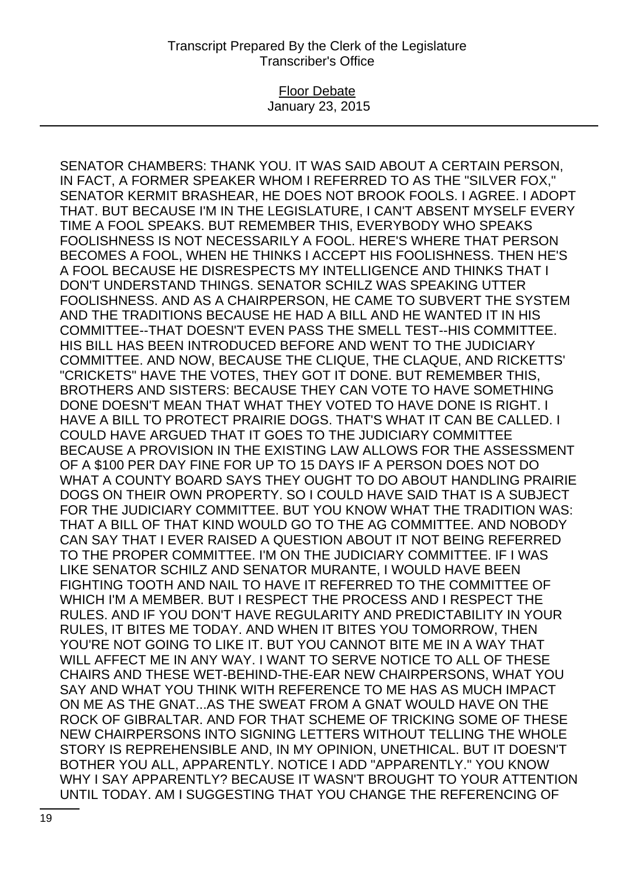### Floor Debate January 23, 2015

SENATOR CHAMBERS: THANK YOU. IT WAS SAID ABOUT A CERTAIN PERSON, IN FACT, A FORMER SPEAKER WHOM I REFERRED TO AS THE "SILVER FOX," SENATOR KERMIT BRASHEAR, HE DOES NOT BROOK FOOLS. I AGREE. I ADOPT THAT. BUT BECAUSE I'M IN THE LEGISLATURE, I CAN'T ABSENT MYSELF EVERY TIME A FOOL SPEAKS. BUT REMEMBER THIS, EVERYBODY WHO SPEAKS FOOLISHNESS IS NOT NECESSARILY A FOOL. HERE'S WHERE THAT PERSON BECOMES A FOOL, WHEN HE THINKS I ACCEPT HIS FOOLISHNESS. THEN HE'S A FOOL BECAUSE HE DISRESPECTS MY INTELLIGENCE AND THINKS THAT I DON'T UNDERSTAND THINGS. SENATOR SCHILZ WAS SPEAKING UTTER FOOLISHNESS. AND AS A CHAIRPERSON, HE CAME TO SUBVERT THE SYSTEM AND THE TRADITIONS BECAUSE HE HAD A BILL AND HE WANTED IT IN HIS COMMITTEE--THAT DOESN'T EVEN PASS THE SMELL TEST--HIS COMMITTEE. HIS BILL HAS BEEN INTRODUCED BEFORE AND WENT TO THE JUDICIARY COMMITTEE. AND NOW, BECAUSE THE CLIQUE, THE CLAQUE, AND RICKETTS' "CRICKETS" HAVE THE VOTES, THEY GOT IT DONE. BUT REMEMBER THIS, BROTHERS AND SISTERS: BECAUSE THEY CAN VOTE TO HAVE SOMETHING DONE DOESN'T MEAN THAT WHAT THEY VOTED TO HAVE DONE IS RIGHT. I HAVE A BILL TO PROTECT PRAIRIE DOGS. THAT'S WHAT IT CAN BE CALLED. I COULD HAVE ARGUED THAT IT GOES TO THE JUDICIARY COMMITTEE BECAUSE A PROVISION IN THE EXISTING LAW ALLOWS FOR THE ASSESSMENT OF A \$100 PER DAY FINE FOR UP TO 15 DAYS IF A PERSON DOES NOT DO WHAT A COUNTY BOARD SAYS THEY OUGHT TO DO ABOUT HANDLING PRAIRIE DOGS ON THEIR OWN PROPERTY. SO I COULD HAVE SAID THAT IS A SUBJECT FOR THE JUDICIARY COMMITTEE. BUT YOU KNOW WHAT THE TRADITION WAS: THAT A BILL OF THAT KIND WOULD GO TO THE AG COMMITTEE. AND NOBODY CAN SAY THAT I EVER RAISED A QUESTION ABOUT IT NOT BEING REFERRED TO THE PROPER COMMITTEE. I'M ON THE JUDICIARY COMMITTEE. IF I WAS LIKE SENATOR SCHILZ AND SENATOR MURANTE, I WOULD HAVE BEEN FIGHTING TOOTH AND NAIL TO HAVE IT REFERRED TO THE COMMITTEE OF WHICH I'M A MEMBER. BUT I RESPECT THE PROCESS AND I RESPECT THE RULES. AND IF YOU DON'T HAVE REGULARITY AND PREDICTABILITY IN YOUR RULES, IT BITES ME TODAY. AND WHEN IT BITES YOU TOMORROW, THEN YOU'RE NOT GOING TO LIKE IT. BUT YOU CANNOT BITE ME IN A WAY THAT WILL AFFECT ME IN ANY WAY. I WANT TO SERVE NOTICE TO ALL OF THESE CHAIRS AND THESE WET-BEHIND-THE-EAR NEW CHAIRPERSONS, WHAT YOU SAY AND WHAT YOU THINK WITH REFERENCE TO ME HAS AS MUCH IMPACT ON ME AS THE GNAT...AS THE SWEAT FROM A GNAT WOULD HAVE ON THE ROCK OF GIBRALTAR. AND FOR THAT SCHEME OF TRICKING SOME OF THESE NEW CHAIRPERSONS INTO SIGNING LETTERS WITHOUT TELLING THE WHOLE STORY IS REPREHENSIBLE AND, IN MY OPINION, UNETHICAL. BUT IT DOESN'T BOTHER YOU ALL, APPARENTLY. NOTICE I ADD "APPARENTLY." YOU KNOW WHY I SAY APPARENTLY? BECAUSE IT WASN'T BROUGHT TO YOUR ATTENTION UNTIL TODAY. AM I SUGGESTING THAT YOU CHANGE THE REFERENCING OF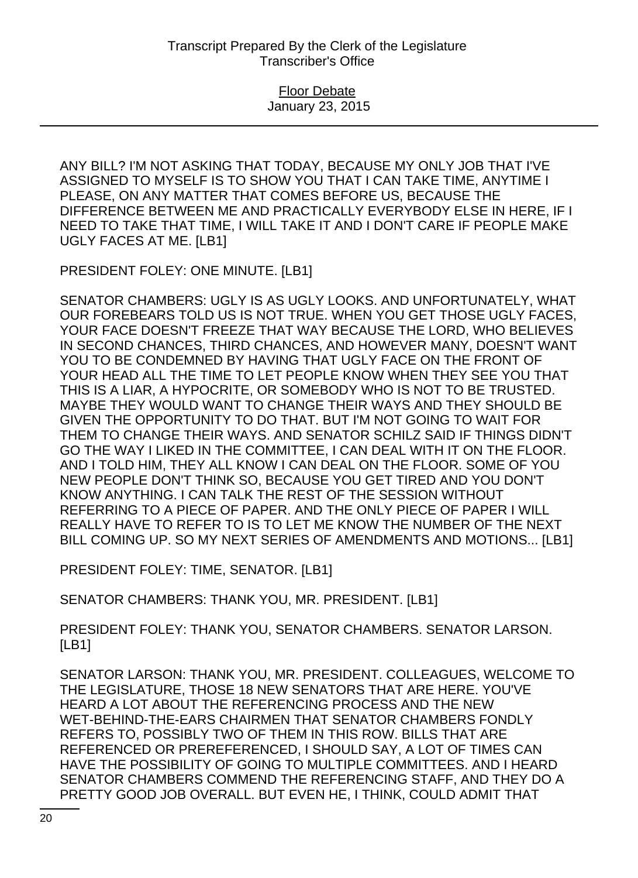ANY BILL? I'M NOT ASKING THAT TODAY, BECAUSE MY ONLY JOB THAT I'VE ASSIGNED TO MYSELF IS TO SHOW YOU THAT I CAN TAKE TIME, ANYTIME I PLEASE, ON ANY MATTER THAT COMES BEFORE US, BECAUSE THE DIFFERENCE BETWEEN ME AND PRACTICALLY EVERYBODY ELSE IN HERE, IF I NEED TO TAKE THAT TIME, I WILL TAKE IT AND I DON'T CARE IF PEOPLE MAKE UGLY FACES AT ME. [LB1]

PRESIDENT FOLEY: ONE MINUTE. [LB1]

SENATOR CHAMBERS: UGLY IS AS UGLY LOOKS. AND UNFORTUNATELY, WHAT OUR FOREBEARS TOLD US IS NOT TRUE. WHEN YOU GET THOSE UGLY FACES, YOUR FACE DOESN'T FREEZE THAT WAY BECAUSE THE LORD, WHO BELIEVES IN SECOND CHANCES, THIRD CHANCES, AND HOWEVER MANY, DOESN'T WANT YOU TO BE CONDEMNED BY HAVING THAT UGLY FACE ON THE FRONT OF YOUR HEAD ALL THE TIME TO LET PEOPLE KNOW WHEN THEY SEE YOU THAT THIS IS A LIAR, A HYPOCRITE, OR SOMEBODY WHO IS NOT TO BE TRUSTED. MAYBE THEY WOULD WANT TO CHANGE THEIR WAYS AND THEY SHOULD BE GIVEN THE OPPORTUNITY TO DO THAT. BUT I'M NOT GOING TO WAIT FOR THEM TO CHANGE THEIR WAYS. AND SENATOR SCHILZ SAID IF THINGS DIDN'T GO THE WAY I LIKED IN THE COMMITTEE, I CAN DEAL WITH IT ON THE FLOOR. AND I TOLD HIM, THEY ALL KNOW I CAN DEAL ON THE FLOOR. SOME OF YOU NEW PEOPLE DON'T THINK SO, BECAUSE YOU GET TIRED AND YOU DON'T KNOW ANYTHING. I CAN TALK THE REST OF THE SESSION WITHOUT REFERRING TO A PIECE OF PAPER. AND THE ONLY PIECE OF PAPER I WILL REALLY HAVE TO REFER TO IS TO LET ME KNOW THE NUMBER OF THE NEXT BILL COMING UP. SO MY NEXT SERIES OF AMENDMENTS AND MOTIONS... [LB1]

PRESIDENT FOLEY: TIME, SENATOR. [LB1]

SENATOR CHAMBERS: THANK YOU, MR. PRESIDENT. [LB1]

PRESIDENT FOLEY: THANK YOU, SENATOR CHAMBERS. SENATOR LARSON. [LB1]

SENATOR LARSON: THANK YOU, MR. PRESIDENT. COLLEAGUES, WELCOME TO THE LEGISLATURE, THOSE 18 NEW SENATORS THAT ARE HERE. YOU'VE HEARD A LOT ABOUT THE REFERENCING PROCESS AND THE NEW WET-BEHIND-THE-EARS CHAIRMEN THAT SENATOR CHAMBERS FONDLY REFERS TO, POSSIBLY TWO OF THEM IN THIS ROW. BILLS THAT ARE REFERENCED OR PREREFERENCED, I SHOULD SAY, A LOT OF TIMES CAN HAVE THE POSSIBILITY OF GOING TO MULTIPLE COMMITTEES. AND I HEARD SENATOR CHAMBERS COMMEND THE REFERENCING STAFF, AND THEY DO A PRETTY GOOD JOB OVERALL. BUT EVEN HE, I THINK, COULD ADMIT THAT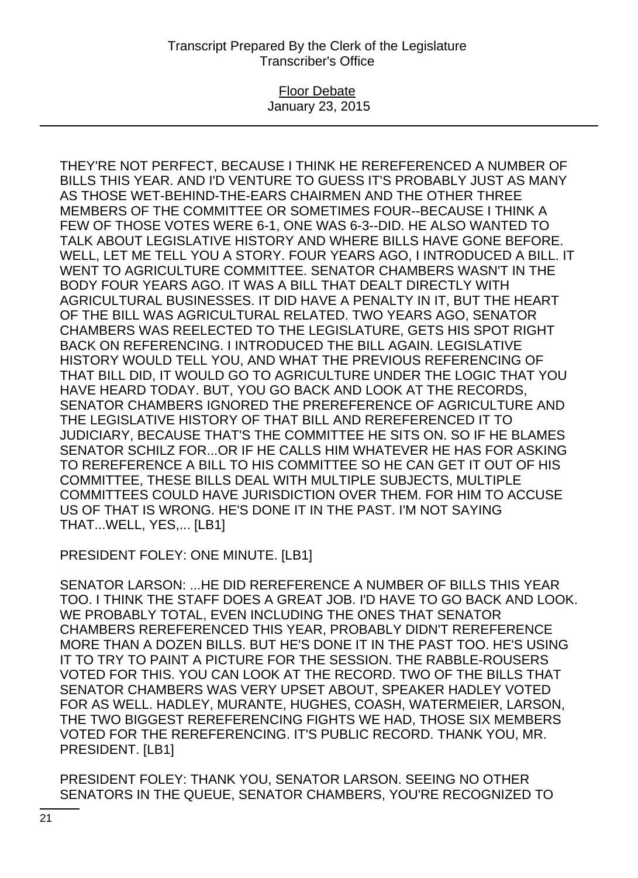### Floor Debate January 23, 2015

THEY'RE NOT PERFECT, BECAUSE I THINK HE REREFERENCED A NUMBER OF BILLS THIS YEAR. AND I'D VENTURE TO GUESS IT'S PROBABLY JUST AS MANY AS THOSE WET-BEHIND-THE-EARS CHAIRMEN AND THE OTHER THREE MEMBERS OF THE COMMITTEE OR SOMETIMES FOUR--BECAUSE I THINK A FEW OF THOSE VOTES WERE 6-1, ONE WAS 6-3--DID. HE ALSO WANTED TO TALK ABOUT LEGISLATIVE HISTORY AND WHERE BILLS HAVE GONE BEFORE. WELL, LET ME TELL YOU A STORY. FOUR YEARS AGO, I INTRODUCED A BILL. IT WENT TO AGRICULTURE COMMITTEE. SENATOR CHAMBERS WASN'T IN THE BODY FOUR YEARS AGO. IT WAS A BILL THAT DEALT DIRECTLY WITH AGRICULTURAL BUSINESSES. IT DID HAVE A PENALTY IN IT, BUT THE HEART OF THE BILL WAS AGRICULTURAL RELATED. TWO YEARS AGO, SENATOR CHAMBERS WAS REELECTED TO THE LEGISLATURE, GETS HIS SPOT RIGHT BACK ON REFERENCING. I INTRODUCED THE BILL AGAIN. LEGISLATIVE HISTORY WOULD TELL YOU, AND WHAT THE PREVIOUS REFERENCING OF THAT BILL DID, IT WOULD GO TO AGRICULTURE UNDER THE LOGIC THAT YOU HAVE HEARD TODAY. BUT, YOU GO BACK AND LOOK AT THE RECORDS, SENATOR CHAMBERS IGNORED THE PREREFERENCE OF AGRICULTURE AND THE LEGISLATIVE HISTORY OF THAT BILL AND REREFERENCED IT TO JUDICIARY, BECAUSE THAT'S THE COMMITTEE HE SITS ON. SO IF HE BLAMES SENATOR SCHILZ FOR...OR IF HE CALLS HIM WHATEVER HE HAS FOR ASKING TO REREFERENCE A BILL TO HIS COMMITTEE SO HE CAN GET IT OUT OF HIS COMMITTEE, THESE BILLS DEAL WITH MULTIPLE SUBJECTS, MULTIPLE COMMITTEES COULD HAVE JURISDICTION OVER THEM. FOR HIM TO ACCUSE US OF THAT IS WRONG. HE'S DONE IT IN THE PAST. I'M NOT SAYING THAT...WELL, YES,... [LB1]

PRESIDENT FOLEY: ONE MINUTE. [LB1]

SENATOR LARSON: ...HE DID REREFERENCE A NUMBER OF BILLS THIS YEAR TOO. I THINK THE STAFF DOES A GREAT JOB. I'D HAVE TO GO BACK AND LOOK. WE PROBABLY TOTAL, EVEN INCLUDING THE ONES THAT SENATOR CHAMBERS REREFERENCED THIS YEAR, PROBABLY DIDN'T REREFERENCE MORE THAN A DOZEN BILLS. BUT HE'S DONE IT IN THE PAST TOO. HE'S USING IT TO TRY TO PAINT A PICTURE FOR THE SESSION. THE RABBLE-ROUSERS VOTED FOR THIS. YOU CAN LOOK AT THE RECORD. TWO OF THE BILLS THAT SENATOR CHAMBERS WAS VERY UPSET ABOUT, SPEAKER HADLEY VOTED FOR AS WELL. HADLEY, MURANTE, HUGHES, COASH, WATERMEIER, LARSON, THE TWO BIGGEST REREFERENCING FIGHTS WE HAD, THOSE SIX MEMBERS VOTED FOR THE REREFERENCING. IT'S PUBLIC RECORD. THANK YOU, MR. PRESIDENT. [LB1]

PRESIDENT FOLEY: THANK YOU, SENATOR LARSON. SEEING NO OTHER SENATORS IN THE QUEUE, SENATOR CHAMBERS, YOU'RE RECOGNIZED TO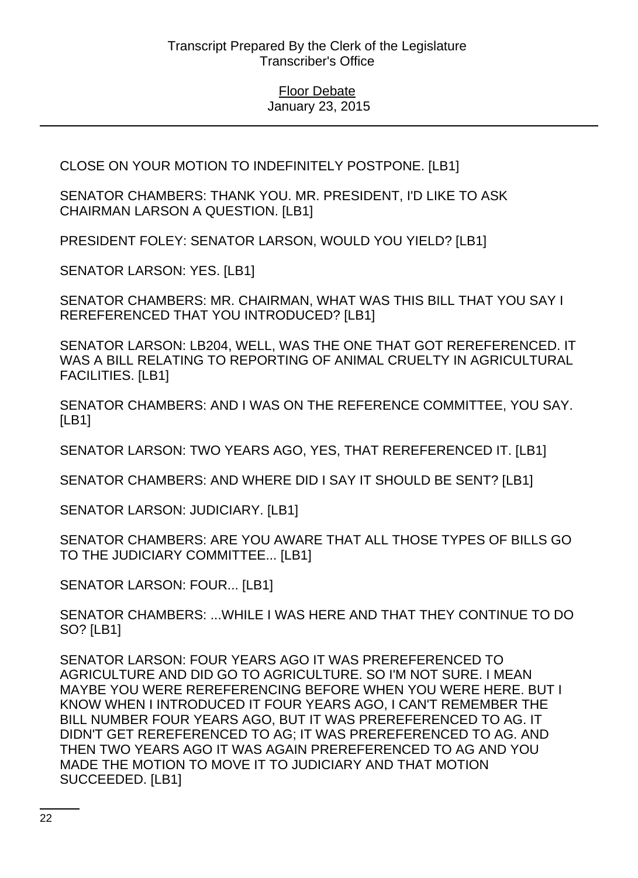CLOSE ON YOUR MOTION TO INDEFINITELY POSTPONE. [LB1]

SENATOR CHAMBERS: THANK YOU. MR. PRESIDENT, I'D LIKE TO ASK CHAIRMAN LARSON A QUESTION. [LB1]

PRESIDENT FOLEY: SENATOR LARSON, WOULD YOU YIELD? [LB1]

SENATOR LARSON: YES. [LB1]

SENATOR CHAMBERS: MR. CHAIRMAN, WHAT WAS THIS BILL THAT YOU SAY I REREFERENCED THAT YOU INTRODUCED? [LB1]

SENATOR LARSON: LB204, WELL, WAS THE ONE THAT GOT REREFERENCED. IT WAS A BILL RELATING TO REPORTING OF ANIMAL CRUELTY IN AGRICULTURAL FACILITIES. [LB1]

SENATOR CHAMBERS: AND I WAS ON THE REFERENCE COMMITTEE, YOU SAY. [LB1]

SENATOR LARSON: TWO YEARS AGO, YES, THAT REREFERENCED IT. [LB1]

SENATOR CHAMBERS: AND WHERE DID I SAY IT SHOULD BE SENT? [LB1]

SENATOR LARSON: JUDICIARY. [LB1]

SENATOR CHAMBERS: ARE YOU AWARE THAT ALL THOSE TYPES OF BILLS GO TO THE JUDICIARY COMMITTEE... [LB1]

SENATOR LARSON: FOUR... [LB1]

SENATOR CHAMBERS: ...WHILE I WAS HERE AND THAT THEY CONTINUE TO DO SO? [LB1]

SENATOR LARSON: FOUR YEARS AGO IT WAS PREREFERENCED TO AGRICULTURE AND DID GO TO AGRICULTURE. SO I'M NOT SURE. I MEAN MAYBE YOU WERE REREFERENCING BEFORE WHEN YOU WERE HERE. BUT I KNOW WHEN I INTRODUCED IT FOUR YEARS AGO, I CAN'T REMEMBER THE BILL NUMBER FOUR YEARS AGO, BUT IT WAS PREREFERENCED TO AG. IT DIDN'T GET REREFERENCED TO AG; IT WAS PREREFERENCED TO AG. AND THEN TWO YEARS AGO IT WAS AGAIN PREREFERENCED TO AG AND YOU MADE THE MOTION TO MOVE IT TO JUDICIARY AND THAT MOTION SUCCEEDED. [LB1]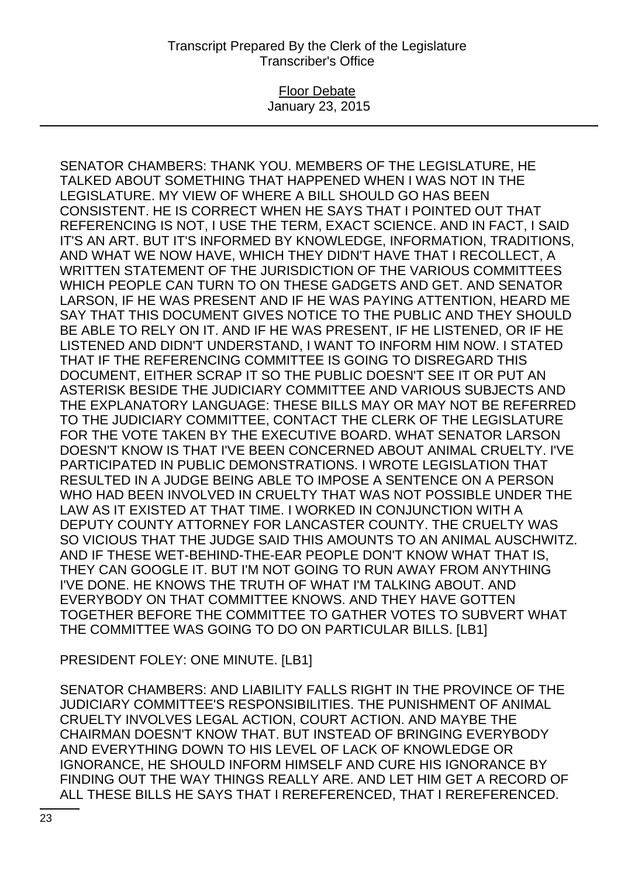### Floor Debate January 23, 2015

SENATOR CHAMBERS: THANK YOU. MEMBERS OF THE LEGISLATURE, HE TALKED ABOUT SOMETHING THAT HAPPENED WHEN I WAS NOT IN THE LEGISLATURE. MY VIEW OF WHERE A BILL SHOULD GO HAS BEEN CONSISTENT. HE IS CORRECT WHEN HE SAYS THAT I POINTED OUT THAT REFERENCING IS NOT, I USE THE TERM, EXACT SCIENCE. AND IN FACT, I SAID IT'S AN ART. BUT IT'S INFORMED BY KNOWLEDGE, INFORMATION, TRADITIONS, AND WHAT WE NOW HAVE, WHICH THEY DIDN'T HAVE THAT I RECOLLECT, A WRITTEN STATEMENT OF THE JURISDICTION OF THE VARIOUS COMMITTEES WHICH PEOPLE CAN TURN TO ON THESE GADGETS AND GET. AND SENATOR LARSON, IF HE WAS PRESENT AND IF HE WAS PAYING ATTENTION, HEARD ME SAY THAT THIS DOCUMENT GIVES NOTICE TO THE PUBLIC AND THEY SHOULD BE ABLE TO RELY ON IT. AND IF HE WAS PRESENT, IF HE LISTENED, OR IF HE LISTENED AND DIDN'T UNDERSTAND, I WANT TO INFORM HIM NOW. I STATED THAT IF THE REFERENCING COMMITTEE IS GOING TO DISREGARD THIS DOCUMENT, EITHER SCRAP IT SO THE PUBLIC DOESN'T SEE IT OR PUT AN ASTERISK BESIDE THE JUDICIARY COMMITTEE AND VARIOUS SUBJECTS AND THE EXPLANATORY LANGUAGE: THESE BILLS MAY OR MAY NOT BE REFERRED TO THE JUDICIARY COMMITTEE, CONTACT THE CLERK OF THE LEGISLATURE FOR THE VOTE TAKEN BY THE EXECUTIVE BOARD. WHAT SENATOR LARSON DOESN'T KNOW IS THAT I'VE BEEN CONCERNED ABOUT ANIMAL CRUELTY. I'VE PARTICIPATED IN PUBLIC DEMONSTRATIONS. I WROTE LEGISLATION THAT RESULTED IN A JUDGE BEING ABLE TO IMPOSE A SENTENCE ON A PERSON WHO HAD BEEN INVOLVED IN CRUELTY THAT WAS NOT POSSIBLE UNDER THE LAW AS IT EXISTED AT THAT TIME. I WORKED IN CONJUNCTION WITH A DEPUTY COUNTY ATTORNEY FOR LANCASTER COUNTY. THE CRUELTY WAS SO VICIOUS THAT THE JUDGE SAID THIS AMOUNTS TO AN ANIMAL AUSCHWITZ. AND IF THESE WET-BEHIND-THE-EAR PEOPLE DON'T KNOW WHAT THAT IS, THEY CAN GOOGLE IT. BUT I'M NOT GOING TO RUN AWAY FROM ANYTHING I'VE DONE. HE KNOWS THE TRUTH OF WHAT I'M TALKING ABOUT. AND EVERYBODY ON THAT COMMITTEE KNOWS. AND THEY HAVE GOTTEN TOGETHER BEFORE THE COMMITTEE TO GATHER VOTES TO SUBVERT WHAT THE COMMITTEE WAS GOING TO DO ON PARTICULAR BILLS. [LB1]

PRESIDENT FOLEY: ONE MINUTE. [LB1]

SENATOR CHAMBERS: AND LIABILITY FALLS RIGHT IN THE PROVINCE OF THE JUDICIARY COMMITTEE'S RESPONSIBILITIES. THE PUNISHMENT OF ANIMAL CRUELTY INVOLVES LEGAL ACTION, COURT ACTION. AND MAYBE THE CHAIRMAN DOESN'T KNOW THAT. BUT INSTEAD OF BRINGING EVERYBODY AND EVERYTHING DOWN TO HIS LEVEL OF LACK OF KNOWLEDGE OR IGNORANCE, HE SHOULD INFORM HIMSELF AND CURE HIS IGNORANCE BY FINDING OUT THE WAY THINGS REALLY ARE. AND LET HIM GET A RECORD OF ALL THESE BILLS HE SAYS THAT I REREFERENCED, THAT I REREFERENCED.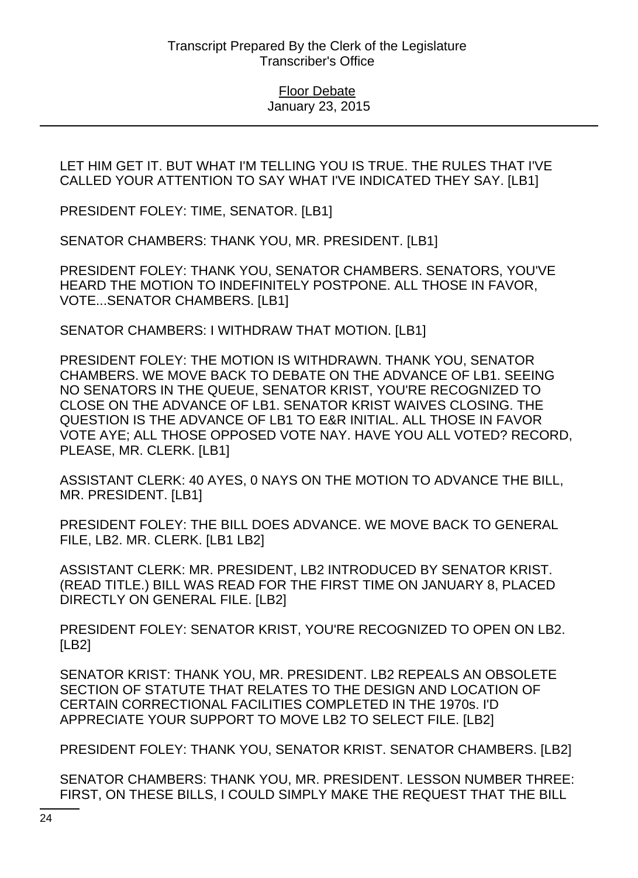LET HIM GET IT. BUT WHAT I'M TELLING YOU IS TRUE. THE RULES THAT I'VE CALLED YOUR ATTENTION TO SAY WHAT I'VE INDICATED THEY SAY. [LB1]

PRESIDENT FOLEY: TIME, SENATOR. [LB1]

SENATOR CHAMBERS: THANK YOU, MR. PRESIDENT. [LB1]

PRESIDENT FOLEY: THANK YOU, SENATOR CHAMBERS. SENATORS, YOU'VE HEARD THE MOTION TO INDEFINITELY POSTPONE. ALL THOSE IN FAVOR, VOTE...SENATOR CHAMBERS. [LB1]

SENATOR CHAMBERS: I WITHDRAW THAT MOTION. [LB1]

PRESIDENT FOLEY: THE MOTION IS WITHDRAWN. THANK YOU, SENATOR CHAMBERS. WE MOVE BACK TO DEBATE ON THE ADVANCE OF LB1. SEEING NO SENATORS IN THE QUEUE, SENATOR KRIST, YOU'RE RECOGNIZED TO CLOSE ON THE ADVANCE OF LB1. SENATOR KRIST WAIVES CLOSING. THE QUESTION IS THE ADVANCE OF LB1 TO E&R INITIAL. ALL THOSE IN FAVOR VOTE AYE; ALL THOSE OPPOSED VOTE NAY. HAVE YOU ALL VOTED? RECORD, PLEASE, MR. CLERK. [LB1]

ASSISTANT CLERK: 40 AYES, 0 NAYS ON THE MOTION TO ADVANCE THE BILL, MR. PRESIDENT. [LB1]

PRESIDENT FOLEY: THE BILL DOES ADVANCE. WE MOVE BACK TO GENERAL FILE, LB2. MR. CLERK. [LB1 LB2]

ASSISTANT CLERK: MR. PRESIDENT, LB2 INTRODUCED BY SENATOR KRIST. (READ TITLE.) BILL WAS READ FOR THE FIRST TIME ON JANUARY 8, PLACED DIRECTLY ON GENERAL FILE. [LB2]

PRESIDENT FOLEY: SENATOR KRIST, YOU'RE RECOGNIZED TO OPEN ON LB2. [LB2]

SENATOR KRIST: THANK YOU, MR. PRESIDENT. LB2 REPEALS AN OBSOLETE SECTION OF STATUTE THAT RELATES TO THE DESIGN AND LOCATION OF CERTAIN CORRECTIONAL FACILITIES COMPLETED IN THE 1970s. I'D APPRECIATE YOUR SUPPORT TO MOVE LB2 TO SELECT FILE. [LB2]

PRESIDENT FOLEY: THANK YOU, SENATOR KRIST. SENATOR CHAMBERS. [LB2]

SENATOR CHAMBERS: THANK YOU, MR. PRESIDENT. LESSON NUMBER THREE: FIRST, ON THESE BILLS, I COULD SIMPLY MAKE THE REQUEST THAT THE BILL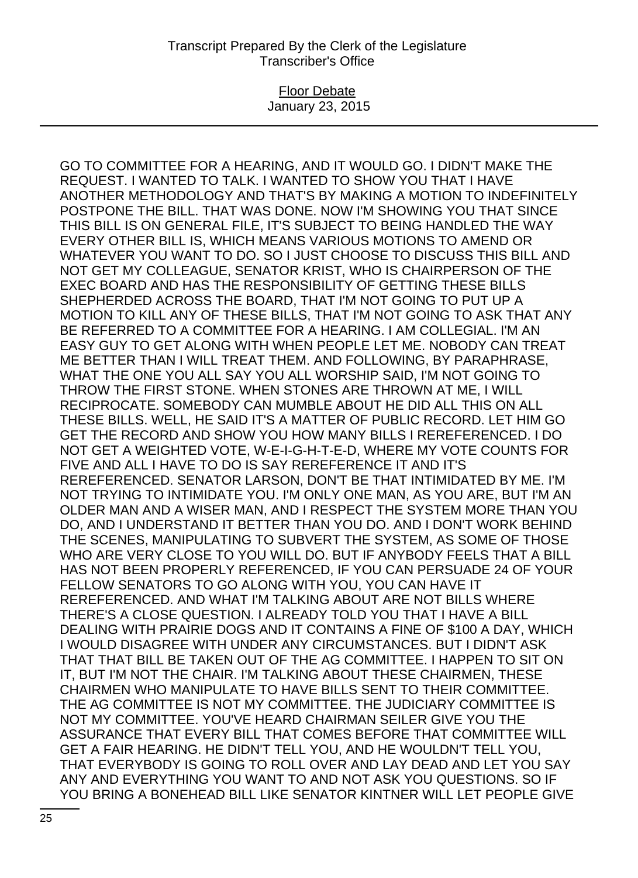### Floor Debate January 23, 2015

GO TO COMMITTEE FOR A HEARING, AND IT WOULD GO. I DIDN'T MAKE THE REQUEST. I WANTED TO TALK. I WANTED TO SHOW YOU THAT I HAVE ANOTHER METHODOLOGY AND THAT'S BY MAKING A MOTION TO INDEFINITELY POSTPONE THE BILL. THAT WAS DONE. NOW I'M SHOWING YOU THAT SINCE THIS BILL IS ON GENERAL FILE, IT'S SUBJECT TO BEING HANDLED THE WAY EVERY OTHER BILL IS, WHICH MEANS VARIOUS MOTIONS TO AMEND OR WHATEVER YOU WANT TO DO. SO I JUST CHOOSE TO DISCUSS THIS BILL AND NOT GET MY COLLEAGUE, SENATOR KRIST, WHO IS CHAIRPERSON OF THE EXEC BOARD AND HAS THE RESPONSIBILITY OF GETTING THESE BILLS SHEPHERDED ACROSS THE BOARD, THAT I'M NOT GOING TO PUT UP A MOTION TO KILL ANY OF THESE BILLS, THAT I'M NOT GOING TO ASK THAT ANY BE REFERRED TO A COMMITTEE FOR A HEARING. I AM COLLEGIAL. I'M AN EASY GUY TO GET ALONG WITH WHEN PEOPLE LET ME. NOBODY CAN TREAT ME BETTER THAN I WILL TREAT THEM. AND FOLLOWING, BY PARAPHRASE, WHAT THE ONE YOU ALL SAY YOU ALL WORSHIP SAID, I'M NOT GOING TO THROW THE FIRST STONE. WHEN STONES ARE THROWN AT ME, I WILL RECIPROCATE. SOMEBODY CAN MUMBLE ABOUT HE DID ALL THIS ON ALL THESE BILLS. WELL, HE SAID IT'S A MATTER OF PUBLIC RECORD. LET HIM GO GET THE RECORD AND SHOW YOU HOW MANY BILLS I REREFERENCED. I DO NOT GET A WEIGHTED VOTE, W-E-I-G-H-T-E-D, WHERE MY VOTE COUNTS FOR FIVE AND ALL I HAVE TO DO IS SAY REREFERENCE IT AND IT'S REREFERENCED. SENATOR LARSON, DON'T BE THAT INTIMIDATED BY ME. I'M NOT TRYING TO INTIMIDATE YOU. I'M ONLY ONE MAN, AS YOU ARE, BUT I'M AN OLDER MAN AND A WISER MAN, AND I RESPECT THE SYSTEM MORE THAN YOU DO, AND I UNDERSTAND IT BETTER THAN YOU DO. AND I DON'T WORK BEHIND THE SCENES, MANIPULATING TO SUBVERT THE SYSTEM, AS SOME OF THOSE WHO ARE VERY CLOSE TO YOU WILL DO. BUT IF ANYBODY FEELS THAT A BILL HAS NOT BEEN PROPERLY REFERENCED, IF YOU CAN PERSUADE 24 OF YOUR FELLOW SENATORS TO GO ALONG WITH YOU, YOU CAN HAVE IT REREFERENCED. AND WHAT I'M TALKING ABOUT ARE NOT BILLS WHERE THERE'S A CLOSE QUESTION. I ALREADY TOLD YOU THAT I HAVE A BILL DEALING WITH PRAIRIE DOGS AND IT CONTAINS A FINE OF \$100 A DAY, WHICH I WOULD DISAGREE WITH UNDER ANY CIRCUMSTANCES. BUT I DIDN'T ASK THAT THAT BILL BE TAKEN OUT OF THE AG COMMITTEE. I HAPPEN TO SIT ON IT, BUT I'M NOT THE CHAIR. I'M TALKING ABOUT THESE CHAIRMEN, THESE CHAIRMEN WHO MANIPULATE TO HAVE BILLS SENT TO THEIR COMMITTEE. THE AG COMMITTEE IS NOT MY COMMITTEE. THE JUDICIARY COMMITTEE IS NOT MY COMMITTEE. YOU'VE HEARD CHAIRMAN SEILER GIVE YOU THE ASSURANCE THAT EVERY BILL THAT COMES BEFORE THAT COMMITTEE WILL GET A FAIR HEARING. HE DIDN'T TELL YOU, AND HE WOULDN'T TELL YOU, THAT EVERYBODY IS GOING TO ROLL OVER AND LAY DEAD AND LET YOU SAY ANY AND EVERYTHING YOU WANT TO AND NOT ASK YOU QUESTIONS. SO IF YOU BRING A BONEHEAD BILL LIKE SENATOR KINTNER WILL LET PEOPLE GIVE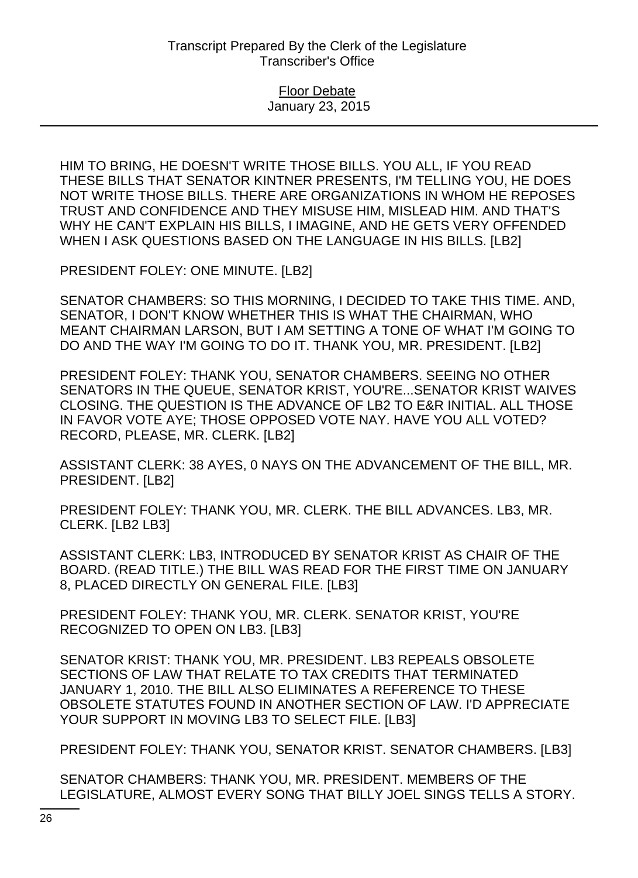HIM TO BRING, HE DOESN'T WRITE THOSE BILLS. YOU ALL, IF YOU READ THESE BILLS THAT SENATOR KINTNER PRESENTS, I'M TELLING YOU, HE DOES NOT WRITE THOSE BILLS. THERE ARE ORGANIZATIONS IN WHOM HE REPOSES TRUST AND CONFIDENCE AND THEY MISUSE HIM, MISLEAD HIM. AND THAT'S WHY HE CAN'T EXPLAIN HIS BILLS, I IMAGINE, AND HE GETS VERY OFFENDED WHEN I ASK QUESTIONS BASED ON THE LANGUAGE IN HIS BILLS. [LB2]

PRESIDENT FOLEY: ONE MINUTE. [LB2]

SENATOR CHAMBERS: SO THIS MORNING, I DECIDED TO TAKE THIS TIME. AND, SENATOR, I DON'T KNOW WHETHER THIS IS WHAT THE CHAIRMAN, WHO MEANT CHAIRMAN LARSON, BUT I AM SETTING A TONE OF WHAT I'M GOING TO DO AND THE WAY I'M GOING TO DO IT. THANK YOU, MR. PRESIDENT. [LB2]

PRESIDENT FOLEY: THANK YOU, SENATOR CHAMBERS. SEEING NO OTHER SENATORS IN THE QUEUE, SENATOR KRIST, YOU'RE...SENATOR KRIST WAIVES CLOSING. THE QUESTION IS THE ADVANCE OF LB2 TO E&R INITIAL. ALL THOSE IN FAVOR VOTE AYE; THOSE OPPOSED VOTE NAY. HAVE YOU ALL VOTED? RECORD, PLEASE, MR. CLERK. [LB2]

ASSISTANT CLERK: 38 AYES, 0 NAYS ON THE ADVANCEMENT OF THE BILL, MR. PRESIDENT. [LB2]

PRESIDENT FOLEY: THANK YOU, MR. CLERK. THE BILL ADVANCES. LB3, MR. CLERK. [LB2 LB3]

ASSISTANT CLERK: LB3, INTRODUCED BY SENATOR KRIST AS CHAIR OF THE BOARD. (READ TITLE.) THE BILL WAS READ FOR THE FIRST TIME ON JANUARY 8, PLACED DIRECTLY ON GENERAL FILE. [LB3]

PRESIDENT FOLEY: THANK YOU, MR. CLERK. SENATOR KRIST, YOU'RE RECOGNIZED TO OPEN ON LB3. [LB3]

SENATOR KRIST: THANK YOU, MR. PRESIDENT. LB3 REPEALS OBSOLETE SECTIONS OF LAW THAT RELATE TO TAX CREDITS THAT TERMINATED JANUARY 1, 2010. THE BILL ALSO ELIMINATES A REFERENCE TO THESE OBSOLETE STATUTES FOUND IN ANOTHER SECTION OF LAW. I'D APPRECIATE YOUR SUPPORT IN MOVING LB3 TO SELECT FILE. [LB3]

PRESIDENT FOLEY: THANK YOU, SENATOR KRIST. SENATOR CHAMBERS. [LB3]

SENATOR CHAMBERS: THANK YOU, MR. PRESIDENT. MEMBERS OF THE LEGISLATURE, ALMOST EVERY SONG THAT BILLY JOEL SINGS TELLS A STORY.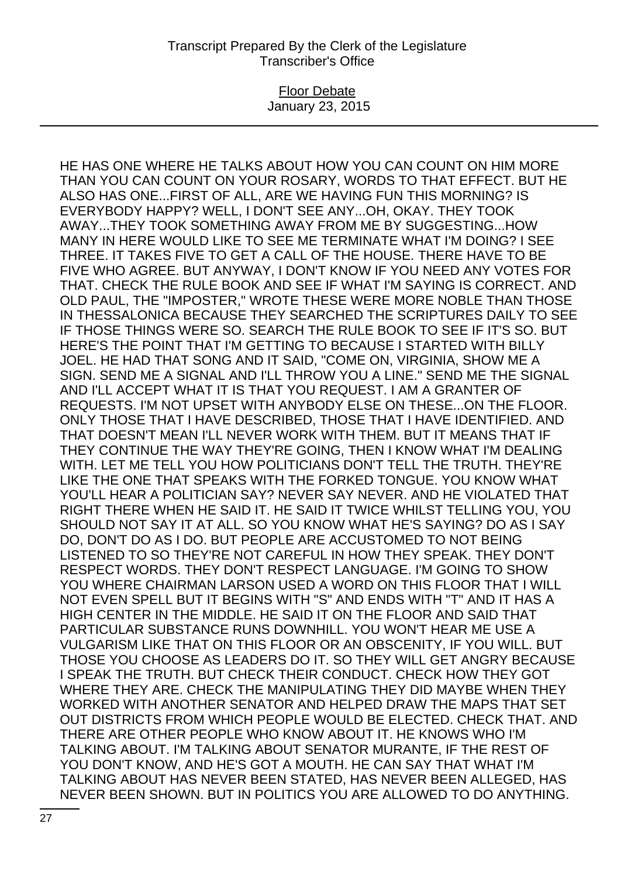### Floor Debate January 23, 2015

HE HAS ONE WHERE HE TALKS ABOUT HOW YOU CAN COUNT ON HIM MORE THAN YOU CAN COUNT ON YOUR ROSARY, WORDS TO THAT EFFECT. BUT HE ALSO HAS ONE...FIRST OF ALL, ARE WE HAVING FUN THIS MORNING? IS EVERYBODY HAPPY? WELL, I DON'T SEE ANY...OH, OKAY. THEY TOOK AWAY...THEY TOOK SOMETHING AWAY FROM ME BY SUGGESTING...HOW MANY IN HERE WOULD LIKE TO SEE ME TERMINATE WHAT I'M DOING? I SEE THREE. IT TAKES FIVE TO GET A CALL OF THE HOUSE. THERE HAVE TO BE FIVE WHO AGREE. BUT ANYWAY, I DON'T KNOW IF YOU NEED ANY VOTES FOR THAT. CHECK THE RULE BOOK AND SEE IF WHAT I'M SAYING IS CORRECT. AND OLD PAUL, THE "IMPOSTER," WROTE THESE WERE MORE NOBLE THAN THOSE IN THESSALONICA BECAUSE THEY SEARCHED THE SCRIPTURES DAILY TO SEE IF THOSE THINGS WERE SO. SEARCH THE RULE BOOK TO SEE IF IT'S SO. BUT HERE'S THE POINT THAT I'M GETTING TO BECAUSE I STARTED WITH BILLY JOEL. HE HAD THAT SONG AND IT SAID, "COME ON, VIRGINIA, SHOW ME A SIGN. SEND ME A SIGNAL AND I'LL THROW YOU A LINE." SEND ME THE SIGNAL AND I'LL ACCEPT WHAT IT IS THAT YOU REQUEST. I AM A GRANTER OF REQUESTS. I'M NOT UPSET WITH ANYBODY ELSE ON THESE...ON THE FLOOR. ONLY THOSE THAT I HAVE DESCRIBED, THOSE THAT I HAVE IDENTIFIED. AND THAT DOESN'T MEAN I'LL NEVER WORK WITH THEM. BUT IT MEANS THAT IF THEY CONTINUE THE WAY THEY'RE GOING, THEN I KNOW WHAT I'M DEALING WITH. LET ME TELL YOU HOW POLITICIANS DON'T TELL THE TRUTH. THEY'RE LIKE THE ONE THAT SPEAKS WITH THE FORKED TONGUE. YOU KNOW WHAT YOU'LL HEAR A POLITICIAN SAY? NEVER SAY NEVER. AND HE VIOLATED THAT RIGHT THERE WHEN HE SAID IT. HE SAID IT TWICE WHILST TELLING YOU, YOU SHOULD NOT SAY IT AT ALL. SO YOU KNOW WHAT HE'S SAYING? DO AS I SAY DO, DON'T DO AS I DO. BUT PEOPLE ARE ACCUSTOMED TO NOT BEING LISTENED TO SO THEY'RE NOT CAREFUL IN HOW THEY SPEAK. THEY DON'T RESPECT WORDS. THEY DON'T RESPECT LANGUAGE. I'M GOING TO SHOW YOU WHERE CHAIRMAN LARSON USED A WORD ON THIS FLOOR THAT I WILL NOT EVEN SPELL BUT IT BEGINS WITH "S" AND ENDS WITH "T" AND IT HAS A HIGH CENTER IN THE MIDDLE. HE SAID IT ON THE FLOOR AND SAID THAT PARTICULAR SUBSTANCE RUNS DOWNHILL. YOU WON'T HEAR ME USE A VULGARISM LIKE THAT ON THIS FLOOR OR AN OBSCENITY, IF YOU WILL. BUT THOSE YOU CHOOSE AS LEADERS DO IT. SO THEY WILL GET ANGRY BECAUSE I SPEAK THE TRUTH. BUT CHECK THEIR CONDUCT. CHECK HOW THEY GOT WHERE THEY ARE. CHECK THE MANIPULATING THEY DID MAYBE WHEN THEY WORKED WITH ANOTHER SENATOR AND HELPED DRAW THE MAPS THAT SET OUT DISTRICTS FROM WHICH PEOPLE WOULD BE ELECTED. CHECK THAT. AND THERE ARE OTHER PEOPLE WHO KNOW ABOUT IT. HE KNOWS WHO I'M TALKING ABOUT. I'M TALKING ABOUT SENATOR MURANTE, IF THE REST OF YOU DON'T KNOW, AND HE'S GOT A MOUTH. HE CAN SAY THAT WHAT I'M TALKING ABOUT HAS NEVER BEEN STATED, HAS NEVER BEEN ALLEGED, HAS NEVER BEEN SHOWN. BUT IN POLITICS YOU ARE ALLOWED TO DO ANYTHING.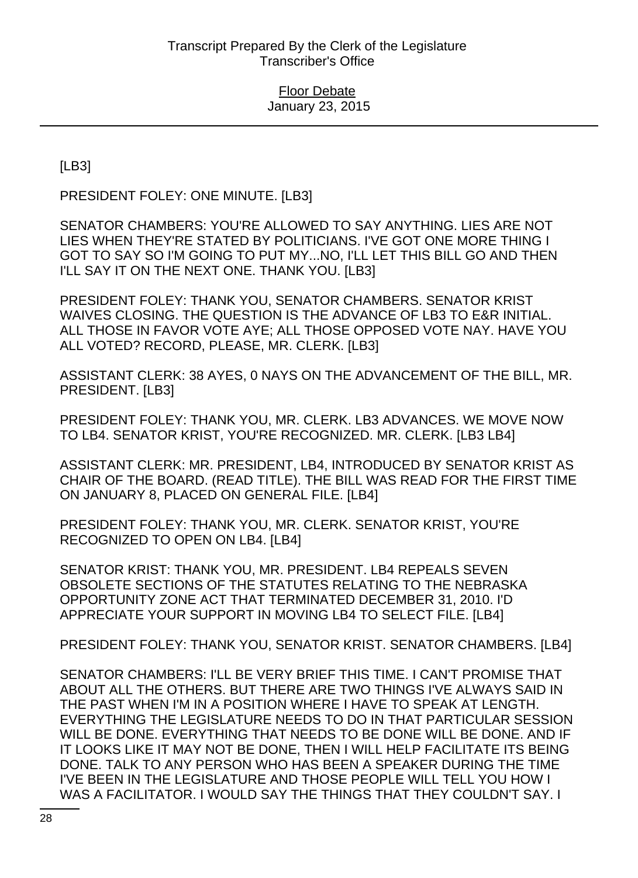[LB3]

PRESIDENT FOLEY: ONE MINUTE. [LB3]

SENATOR CHAMBERS: YOU'RE ALLOWED TO SAY ANYTHING. LIES ARE NOT LIES WHEN THEY'RE STATED BY POLITICIANS. I'VE GOT ONE MORE THING I GOT TO SAY SO I'M GOING TO PUT MY...NO, I'LL LET THIS BILL GO AND THEN I'LL SAY IT ON THE NEXT ONE. THANK YOU. [LB3]

PRESIDENT FOLEY: THANK YOU, SENATOR CHAMBERS. SENATOR KRIST WAIVES CLOSING. THE QUESTION IS THE ADVANCE OF LB3 TO E&R INITIAL. ALL THOSE IN FAVOR VOTE AYE; ALL THOSE OPPOSED VOTE NAY. HAVE YOU ALL VOTED? RECORD, PLEASE, MR. CLERK. [LB3]

ASSISTANT CLERK: 38 AYES, 0 NAYS ON THE ADVANCEMENT OF THE BILL, MR. PRESIDENT. [LB3]

PRESIDENT FOLEY: THANK YOU, MR. CLERK. LB3 ADVANCES. WE MOVE NOW TO LB4. SENATOR KRIST, YOU'RE RECOGNIZED. MR. CLERK. [LB3 LB4]

ASSISTANT CLERK: MR. PRESIDENT, LB4, INTRODUCED BY SENATOR KRIST AS CHAIR OF THE BOARD. (READ TITLE). THE BILL WAS READ FOR THE FIRST TIME ON JANUARY 8, PLACED ON GENERAL FILE. [LB4]

PRESIDENT FOLEY: THANK YOU, MR. CLERK. SENATOR KRIST, YOU'RE RECOGNIZED TO OPEN ON LB4. [LB4]

SENATOR KRIST: THANK YOU, MR. PRESIDENT. LB4 REPEALS SEVEN OBSOLETE SECTIONS OF THE STATUTES RELATING TO THE NEBRASKA OPPORTUNITY ZONE ACT THAT TERMINATED DECEMBER 31, 2010. I'D APPRECIATE YOUR SUPPORT IN MOVING LB4 TO SELECT FILE. [LB4]

PRESIDENT FOLEY: THANK YOU, SENATOR KRIST. SENATOR CHAMBERS. [LB4]

SENATOR CHAMBERS: I'LL BE VERY BRIEF THIS TIME. I CAN'T PROMISE THAT ABOUT ALL THE OTHERS. BUT THERE ARE TWO THINGS I'VE ALWAYS SAID IN THE PAST WHEN I'M IN A POSITION WHERE I HAVE TO SPEAK AT LENGTH. EVERYTHING THE LEGISLATURE NEEDS TO DO IN THAT PARTICULAR SESSION WILL BE DONE. EVERYTHING THAT NEEDS TO BE DONE WILL BE DONE. AND IF IT LOOKS LIKE IT MAY NOT BE DONE, THEN I WILL HELP FACILITATE ITS BEING DONE. TALK TO ANY PERSON WHO HAS BEEN A SPEAKER DURING THE TIME I'VE BEEN IN THE LEGISLATURE AND THOSE PEOPLE WILL TELL YOU HOW I WAS A FACILITATOR. I WOULD SAY THE THINGS THAT THEY COULDN'T SAY. I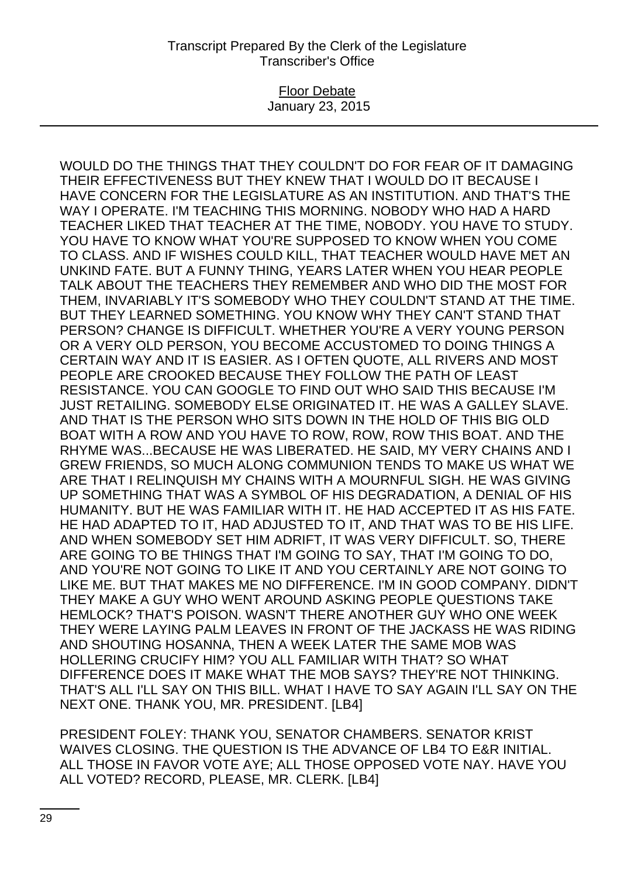### Floor Debate January 23, 2015

WOULD DO THE THINGS THAT THEY COULDN'T DO FOR FEAR OF IT DAMAGING THEIR EFFECTIVENESS BUT THEY KNEW THAT I WOULD DO IT BECAUSE I HAVE CONCERN FOR THE LEGISLATURE AS AN INSTITUTION. AND THAT'S THE WAY I OPERATE. I'M TEACHING THIS MORNING. NOBODY WHO HAD A HARD TEACHER LIKED THAT TEACHER AT THE TIME, NOBODY. YOU HAVE TO STUDY. YOU HAVE TO KNOW WHAT YOU'RE SUPPOSED TO KNOW WHEN YOU COME TO CLASS. AND IF WISHES COULD KILL, THAT TEACHER WOULD HAVE MET AN UNKIND FATE. BUT A FUNNY THING, YEARS LATER WHEN YOU HEAR PEOPLE TALK ABOUT THE TEACHERS THEY REMEMBER AND WHO DID THE MOST FOR THEM, INVARIABLY IT'S SOMEBODY WHO THEY COULDN'T STAND AT THE TIME. BUT THEY LEARNED SOMETHING. YOU KNOW WHY THEY CAN'T STAND THAT PERSON? CHANGE IS DIFFICULT. WHETHER YOU'RE A VERY YOUNG PERSON OR A VERY OLD PERSON, YOU BECOME ACCUSTOMED TO DOING THINGS A CERTAIN WAY AND IT IS EASIER. AS I OFTEN QUOTE, ALL RIVERS AND MOST PEOPLE ARE CROOKED BECAUSE THEY FOLLOW THE PATH OF LEAST RESISTANCE. YOU CAN GOOGLE TO FIND OUT WHO SAID THIS BECAUSE I'M JUST RETAILING. SOMEBODY ELSE ORIGINATED IT. HE WAS A GALLEY SLAVE. AND THAT IS THE PERSON WHO SITS DOWN IN THE HOLD OF THIS BIG OLD BOAT WITH A ROW AND YOU HAVE TO ROW, ROW, ROW THIS BOAT. AND THE RHYME WAS...BECAUSE HE WAS LIBERATED. HE SAID, MY VERY CHAINS AND I GREW FRIENDS, SO MUCH ALONG COMMUNION TENDS TO MAKE US WHAT WE ARE THAT I RELINQUISH MY CHAINS WITH A MOURNFUL SIGH. HE WAS GIVING UP SOMETHING THAT WAS A SYMBOL OF HIS DEGRADATION, A DENIAL OF HIS HUMANITY. BUT HE WAS FAMILIAR WITH IT. HE HAD ACCEPTED IT AS HIS FATE. HE HAD ADAPTED TO IT, HAD ADJUSTED TO IT, AND THAT WAS TO BE HIS LIFE. AND WHEN SOMEBODY SET HIM ADRIFT, IT WAS VERY DIFFICULT. SO, THERE ARE GOING TO BE THINGS THAT I'M GOING TO SAY, THAT I'M GOING TO DO, AND YOU'RE NOT GOING TO LIKE IT AND YOU CERTAINLY ARE NOT GOING TO LIKE ME. BUT THAT MAKES ME NO DIFFERENCE. I'M IN GOOD COMPANY. DIDN'T THEY MAKE A GUY WHO WENT AROUND ASKING PEOPLE QUESTIONS TAKE HEMLOCK? THAT'S POISON. WASN'T THERE ANOTHER GUY WHO ONE WEEK THEY WERE LAYING PALM LEAVES IN FRONT OF THE JACKASS HE WAS RIDING AND SHOUTING HOSANNA, THEN A WEEK LATER THE SAME MOB WAS HOLLERING CRUCIFY HIM? YOU ALL FAMILIAR WITH THAT? SO WHAT DIFFERENCE DOES IT MAKE WHAT THE MOB SAYS? THEY'RE NOT THINKING. THAT'S ALL I'LL SAY ON THIS BILL. WHAT I HAVE TO SAY AGAIN I'LL SAY ON THE NEXT ONE. THANK YOU, MR. PRESIDENT. [LB4]

PRESIDENT FOLEY: THANK YOU, SENATOR CHAMBERS. SENATOR KRIST WAIVES CLOSING. THE QUESTION IS THE ADVANCE OF LB4 TO E&R INITIAL. ALL THOSE IN FAVOR VOTE AYE; ALL THOSE OPPOSED VOTE NAY. HAVE YOU ALL VOTED? RECORD, PLEASE, MR. CLERK. [LB4]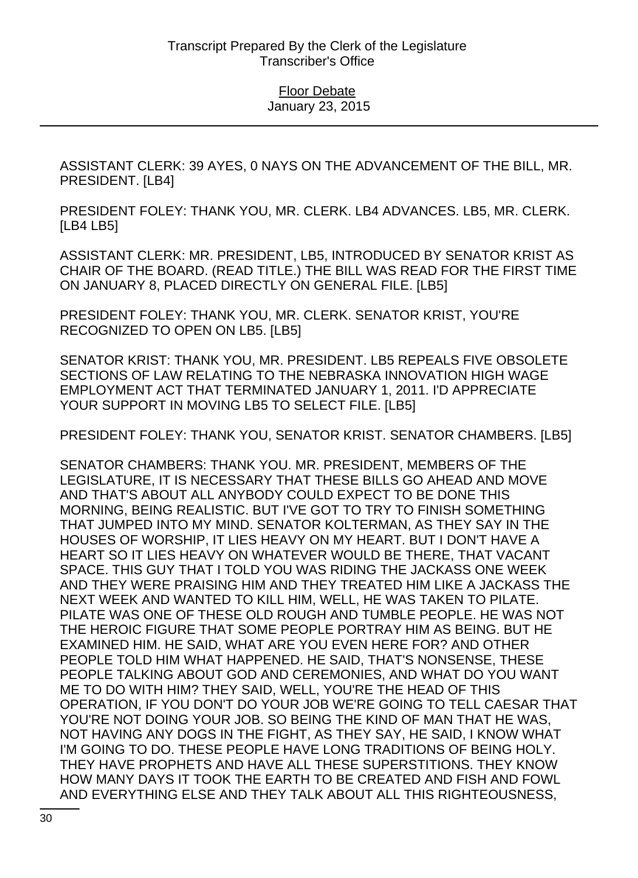ASSISTANT CLERK: 39 AYES, 0 NAYS ON THE ADVANCEMENT OF THE BILL, MR. PRESIDENT. [LB4]

PRESIDENT FOLEY: THANK YOU, MR. CLERK. LB4 ADVANCES. LB5, MR. CLERK. [LB4 LB5]

ASSISTANT CLERK: MR. PRESIDENT, LB5, INTRODUCED BY SENATOR KRIST AS CHAIR OF THE BOARD. (READ TITLE.) THE BILL WAS READ FOR THE FIRST TIME ON JANUARY 8, PLACED DIRECTLY ON GENERAL FILE. [LB5]

PRESIDENT FOLEY: THANK YOU, MR. CLERK. SENATOR KRIST, YOU'RE RECOGNIZED TO OPEN ON LB5. [LB5]

SENATOR KRIST: THANK YOU, MR. PRESIDENT. LB5 REPEALS FIVE OBSOLETE SECTIONS OF LAW RELATING TO THE NEBRASKA INNOVATION HIGH WAGE EMPLOYMENT ACT THAT TERMINATED JANUARY 1, 2011. I'D APPRECIATE YOUR SUPPORT IN MOVING LB5 TO SELECT FILE. [LB5]

PRESIDENT FOLEY: THANK YOU, SENATOR KRIST. SENATOR CHAMBERS. [LB5]

SENATOR CHAMBERS: THANK YOU. MR. PRESIDENT, MEMBERS OF THE LEGISLATURE, IT IS NECESSARY THAT THESE BILLS GO AHEAD AND MOVE AND THAT'S ABOUT ALL ANYBODY COULD EXPECT TO BE DONE THIS MORNING, BEING REALISTIC. BUT I'VE GOT TO TRY TO FINISH SOMETHING THAT JUMPED INTO MY MIND. SENATOR KOLTERMAN, AS THEY SAY IN THE HOUSES OF WORSHIP, IT LIES HEAVY ON MY HEART. BUT I DON'T HAVE A HEART SO IT LIES HEAVY ON WHATEVER WOULD BE THERE, THAT VACANT SPACE. THIS GUY THAT I TOLD YOU WAS RIDING THE JACKASS ONE WEEK AND THEY WERE PRAISING HIM AND THEY TREATED HIM LIKE A JACKASS THE NEXT WEEK AND WANTED TO KILL HIM, WELL, HE WAS TAKEN TO PILATE. PILATE WAS ONE OF THESE OLD ROUGH AND TUMBLE PEOPLE. HE WAS NOT THE HEROIC FIGURE THAT SOME PEOPLE PORTRAY HIM AS BEING. BUT HE EXAMINED HIM. HE SAID, WHAT ARE YOU EVEN HERE FOR? AND OTHER PEOPLE TOLD HIM WHAT HAPPENED. HE SAID, THAT'S NONSENSE, THESE PEOPLE TALKING ABOUT GOD AND CEREMONIES, AND WHAT DO YOU WANT ME TO DO WITH HIM? THEY SAID, WELL, YOU'RE THE HEAD OF THIS OPERATION, IF YOU DON'T DO YOUR JOB WE'RE GOING TO TELL CAESAR THAT YOU'RE NOT DOING YOUR JOB. SO BEING THE KIND OF MAN THAT HE WAS, NOT HAVING ANY DOGS IN THE FIGHT, AS THEY SAY, HE SAID, I KNOW WHAT I'M GOING TO DO. THESE PEOPLE HAVE LONG TRADITIONS OF BEING HOLY. THEY HAVE PROPHETS AND HAVE ALL THESE SUPERSTITIONS. THEY KNOW HOW MANY DAYS IT TOOK THE EARTH TO BE CREATED AND FISH AND FOWL AND EVERYTHING ELSE AND THEY TALK ABOUT ALL THIS RIGHTEOUSNESS,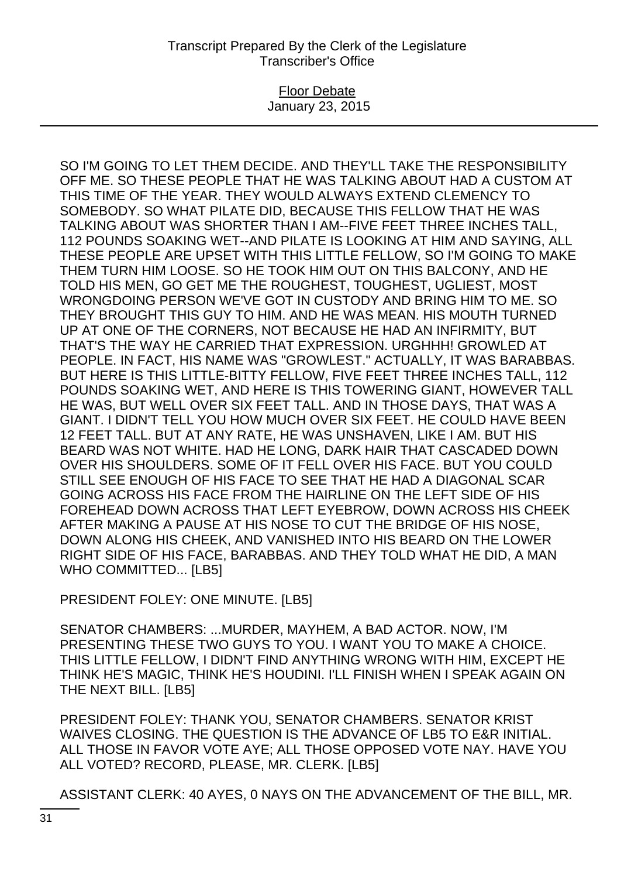### Floor Debate January 23, 2015

SO I'M GOING TO LET THEM DECIDE. AND THEY'LL TAKE THE RESPONSIBILITY OFF ME. SO THESE PEOPLE THAT HE WAS TALKING ABOUT HAD A CUSTOM AT THIS TIME OF THE YEAR. THEY WOULD ALWAYS EXTEND CLEMENCY TO SOMEBODY. SO WHAT PILATE DID, BECAUSE THIS FELLOW THAT HE WAS TALKING ABOUT WAS SHORTER THAN I AM--FIVE FEET THREE INCHES TALL, 112 POUNDS SOAKING WET--AND PILATE IS LOOKING AT HIM AND SAYING, ALL THESE PEOPLE ARE UPSET WITH THIS LITTLE FELLOW, SO I'M GOING TO MAKE THEM TURN HIM LOOSE. SO HE TOOK HIM OUT ON THIS BALCONY, AND HE TOLD HIS MEN, GO GET ME THE ROUGHEST, TOUGHEST, UGLIEST, MOST WRONGDOING PERSON WE'VE GOT IN CUSTODY AND BRING HIM TO ME. SO THEY BROUGHT THIS GUY TO HIM. AND HE WAS MEAN. HIS MOUTH TURNED UP AT ONE OF THE CORNERS, NOT BECAUSE HE HAD AN INFIRMITY, BUT THAT'S THE WAY HE CARRIED THAT EXPRESSION. URGHHH! GROWLED AT PEOPLE. IN FACT, HIS NAME WAS "GROWLEST." ACTUALLY, IT WAS BARABBAS. BUT HERE IS THIS LITTLE-BITTY FELLOW, FIVE FEET THREE INCHES TALL, 112 POUNDS SOAKING WET, AND HERE IS THIS TOWERING GIANT, HOWEVER TALL HE WAS, BUT WELL OVER SIX FEET TALL. AND IN THOSE DAYS, THAT WAS A GIANT. I DIDN'T TELL YOU HOW MUCH OVER SIX FEET. HE COULD HAVE BEEN 12 FEET TALL. BUT AT ANY RATE, HE WAS UNSHAVEN, LIKE I AM. BUT HIS BEARD WAS NOT WHITE. HAD HE LONG, DARK HAIR THAT CASCADED DOWN OVER HIS SHOULDERS. SOME OF IT FELL OVER HIS FACE. BUT YOU COULD STILL SEE ENOUGH OF HIS FACE TO SEE THAT HE HAD A DIAGONAL SCAR GOING ACROSS HIS FACE FROM THE HAIRLINE ON THE LEFT SIDE OF HIS FOREHEAD DOWN ACROSS THAT LEFT EYEBROW, DOWN ACROSS HIS CHEEK AFTER MAKING A PAUSE AT HIS NOSE TO CUT THE BRIDGE OF HIS NOSE, DOWN ALONG HIS CHEEK, AND VANISHED INTO HIS BEARD ON THE LOWER RIGHT SIDE OF HIS FACE, BARABBAS. AND THEY TOLD WHAT HE DID, A MAN WHO COMMITTED... [LB5]

PRESIDENT FOLEY: ONE MINUTE, ILB51

SENATOR CHAMBERS: ...MURDER, MAYHEM, A BAD ACTOR. NOW, I'M PRESENTING THESE TWO GUYS TO YOU. I WANT YOU TO MAKE A CHOICE. THIS LITTLE FELLOW, I DIDN'T FIND ANYTHING WRONG WITH HIM, EXCEPT HE THINK HE'S MAGIC, THINK HE'S HOUDINI. I'LL FINISH WHEN I SPEAK AGAIN ON THE NEXT BILL. [LB5]

PRESIDENT FOLEY: THANK YOU, SENATOR CHAMBERS. SENATOR KRIST WAIVES CLOSING. THE QUESTION IS THE ADVANCE OF LB5 TO E&R INITIAL. ALL THOSE IN FAVOR VOTE AYE; ALL THOSE OPPOSED VOTE NAY. HAVE YOU ALL VOTED? RECORD, PLEASE, MR. CLERK. [LB5]

ASSISTANT CLERK: 40 AYES, 0 NAYS ON THE ADVANCEMENT OF THE BILL, MR.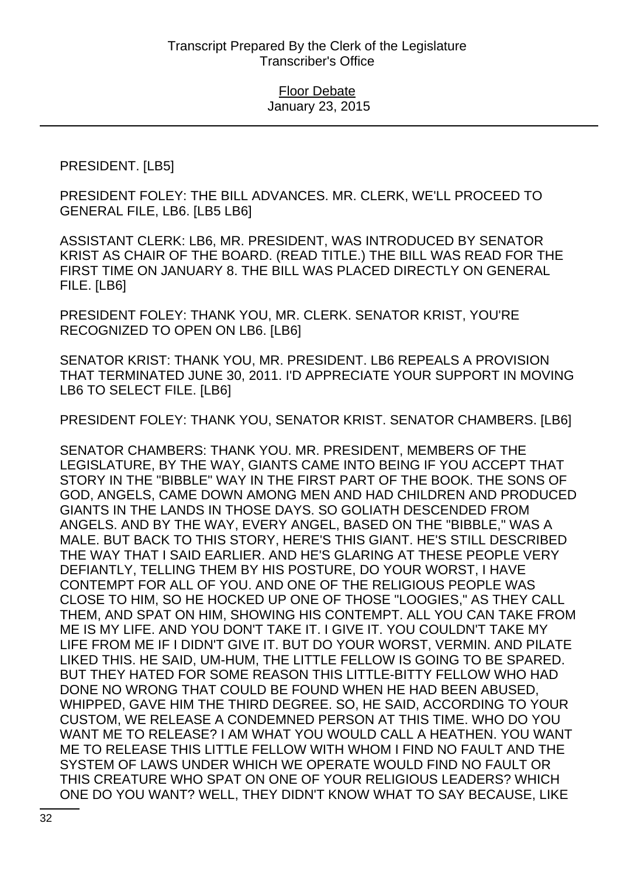## PRESIDENT. [LB5]

PRESIDENT FOLEY: THE BILL ADVANCES. MR. CLERK, WE'LL PROCEED TO GENERAL FILE, LB6. [LB5 LB6]

ASSISTANT CLERK: LB6, MR. PRESIDENT, WAS INTRODUCED BY SENATOR KRIST AS CHAIR OF THE BOARD. (READ TITLE.) THE BILL WAS READ FOR THE FIRST TIME ON JANUARY 8. THE BILL WAS PLACED DIRECTLY ON GENERAL FILE. [LB6]

PRESIDENT FOLEY: THANK YOU, MR. CLERK. SENATOR KRIST, YOU'RE RECOGNIZED TO OPEN ON LB6. [LB6]

SENATOR KRIST: THANK YOU, MR. PRESIDENT. LB6 REPEALS A PROVISION THAT TERMINATED JUNE 30, 2011. I'D APPRECIATE YOUR SUPPORT IN MOVING LB6 TO SELECT FILE. [LB6]

PRESIDENT FOLEY: THANK YOU, SENATOR KRIST. SENATOR CHAMBERS. [LB6]

SENATOR CHAMBERS: THANK YOU. MR. PRESIDENT, MEMBERS OF THE LEGISLATURE, BY THE WAY, GIANTS CAME INTO BEING IF YOU ACCEPT THAT STORY IN THE "BIBBLE" WAY IN THE FIRST PART OF THE BOOK. THE SONS OF GOD, ANGELS, CAME DOWN AMONG MEN AND HAD CHILDREN AND PRODUCED GIANTS IN THE LANDS IN THOSE DAYS. SO GOLIATH DESCENDED FROM ANGELS. AND BY THE WAY, EVERY ANGEL, BASED ON THE "BIBBLE," WAS A MALE. BUT BACK TO THIS STORY, HERE'S THIS GIANT. HE'S STILL DESCRIBED THE WAY THAT I SAID EARLIER. AND HE'S GLARING AT THESE PEOPLE VERY DEFIANTLY, TELLING THEM BY HIS POSTURE, DO YOUR WORST, I HAVE CONTEMPT FOR ALL OF YOU. AND ONE OF THE RELIGIOUS PEOPLE WAS CLOSE TO HIM, SO HE HOCKED UP ONE OF THOSE "LOOGIES," AS THEY CALL THEM, AND SPAT ON HIM, SHOWING HIS CONTEMPT. ALL YOU CAN TAKE FROM ME IS MY LIFE. AND YOU DON'T TAKE IT. I GIVE IT. YOU COULDN'T TAKE MY LIFE FROM ME IF I DIDN'T GIVE IT. BUT DO YOUR WORST, VERMIN. AND PILATE LIKED THIS. HE SAID, UM-HUM, THE LITTLE FELLOW IS GOING TO BE SPARED. BUT THEY HATED FOR SOME REASON THIS LITTLE-BITTY FELLOW WHO HAD DONE NO WRONG THAT COULD BE FOUND WHEN HE HAD BEEN ABUSED, WHIPPED, GAVE HIM THE THIRD DEGREE. SO, HE SAID, ACCORDING TO YOUR CUSTOM, WE RELEASE A CONDEMNED PERSON AT THIS TIME. WHO DO YOU WANT ME TO RELEASE? I AM WHAT YOU WOULD CALL A HEATHEN. YOU WANT ME TO RELEASE THIS LITTLE FELLOW WITH WHOM I FIND NO FAULT AND THE SYSTEM OF LAWS UNDER WHICH WE OPERATE WOULD FIND NO FAULT OR THIS CREATURE WHO SPAT ON ONE OF YOUR RELIGIOUS LEADERS? WHICH ONE DO YOU WANT? WELL, THEY DIDN'T KNOW WHAT TO SAY BECAUSE, LIKE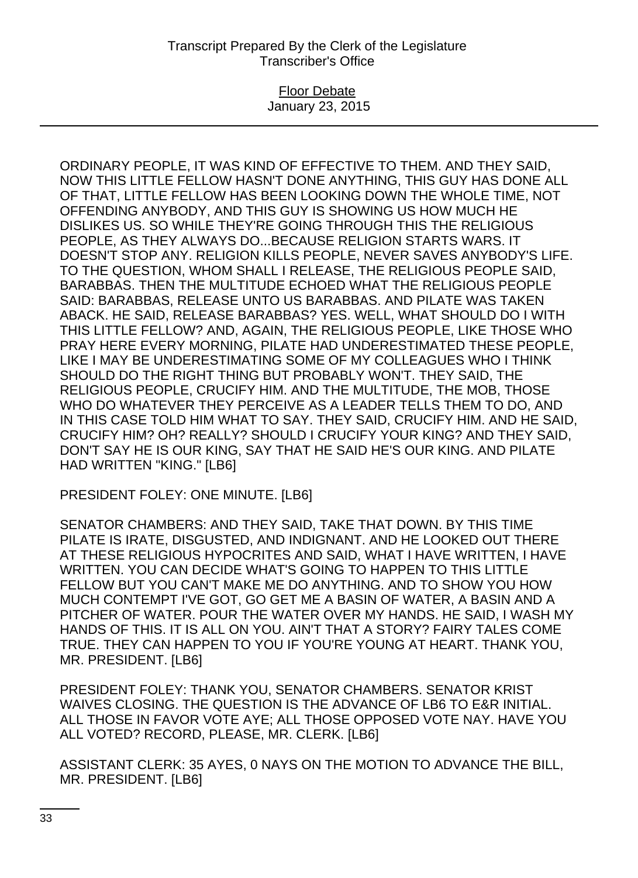### Floor Debate January 23, 2015

ORDINARY PEOPLE, IT WAS KIND OF EFFECTIVE TO THEM. AND THEY SAID, NOW THIS LITTLE FELLOW HASN'T DONE ANYTHING, THIS GUY HAS DONE ALL OF THAT, LITTLE FELLOW HAS BEEN LOOKING DOWN THE WHOLE TIME, NOT OFFENDING ANYBODY, AND THIS GUY IS SHOWING US HOW MUCH HE DISLIKES US. SO WHILE THEY'RE GOING THROUGH THIS THE RELIGIOUS PEOPLE, AS THEY ALWAYS DO...BECAUSE RELIGION STARTS WARS. IT DOESN'T STOP ANY. RELIGION KILLS PEOPLE, NEVER SAVES ANYBODY'S LIFE. TO THE QUESTION, WHOM SHALL I RELEASE, THE RELIGIOUS PEOPLE SAID, BARABBAS. THEN THE MULTITUDE ECHOED WHAT THE RELIGIOUS PEOPLE SAID: BARABBAS, RELEASE UNTO US BARABBAS. AND PILATE WAS TAKEN ABACK. HE SAID, RELEASE BARABBAS? YES. WELL, WHAT SHOULD DO I WITH THIS LITTLE FELLOW? AND, AGAIN, THE RELIGIOUS PEOPLE, LIKE THOSE WHO PRAY HERE EVERY MORNING, PILATE HAD UNDERESTIMATED THESE PEOPLE, LIKE I MAY BE UNDERESTIMATING SOME OF MY COLLEAGUES WHO I THINK SHOULD DO THE RIGHT THING BUT PROBABLY WON'T. THEY SAID, THE RELIGIOUS PEOPLE, CRUCIFY HIM. AND THE MULTITUDE, THE MOB, THOSE WHO DO WHATEVER THEY PERCEIVE AS A LEADER TELLS THEM TO DO, AND IN THIS CASE TOLD HIM WHAT TO SAY. THEY SAID, CRUCIFY HIM. AND HE SAID, CRUCIFY HIM? OH? REALLY? SHOULD I CRUCIFY YOUR KING? AND THEY SAID, DON'T SAY HE IS OUR KING, SAY THAT HE SAID HE'S OUR KING. AND PILATE HAD WRITTEN "KING." [LB6]

PRESIDENT FOLEY: ONE MINUTE. [LB6]

SENATOR CHAMBERS: AND THEY SAID, TAKE THAT DOWN. BY THIS TIME PILATE IS IRATE, DISGUSTED, AND INDIGNANT. AND HE LOOKED OUT THERE AT THESE RELIGIOUS HYPOCRITES AND SAID, WHAT I HAVE WRITTEN, I HAVE WRITTEN. YOU CAN DECIDE WHAT'S GOING TO HAPPEN TO THIS LITTLE FELLOW BUT YOU CAN'T MAKE ME DO ANYTHING. AND TO SHOW YOU HOW MUCH CONTEMPT I'VE GOT, GO GET ME A BASIN OF WATER, A BASIN AND A PITCHER OF WATER. POUR THE WATER OVER MY HANDS. HE SAID, I WASH MY HANDS OF THIS. IT IS ALL ON YOU. AIN'T THAT A STORY? FAIRY TALES COME TRUE. THEY CAN HAPPEN TO YOU IF YOU'RE YOUNG AT HEART. THANK YOU, MR. PRESIDENT. [LB6]

PRESIDENT FOLEY: THANK YOU, SENATOR CHAMBERS. SENATOR KRIST WAIVES CLOSING. THE QUESTION IS THE ADVANCE OF LB6 TO E&R INITIAL. ALL THOSE IN FAVOR VOTE AYE; ALL THOSE OPPOSED VOTE NAY. HAVE YOU ALL VOTED? RECORD, PLEASE, MR. CLERK. [LB6]

ASSISTANT CLERK: 35 AYES, 0 NAYS ON THE MOTION TO ADVANCE THE BILL, MR. PRESIDENT. [LB6]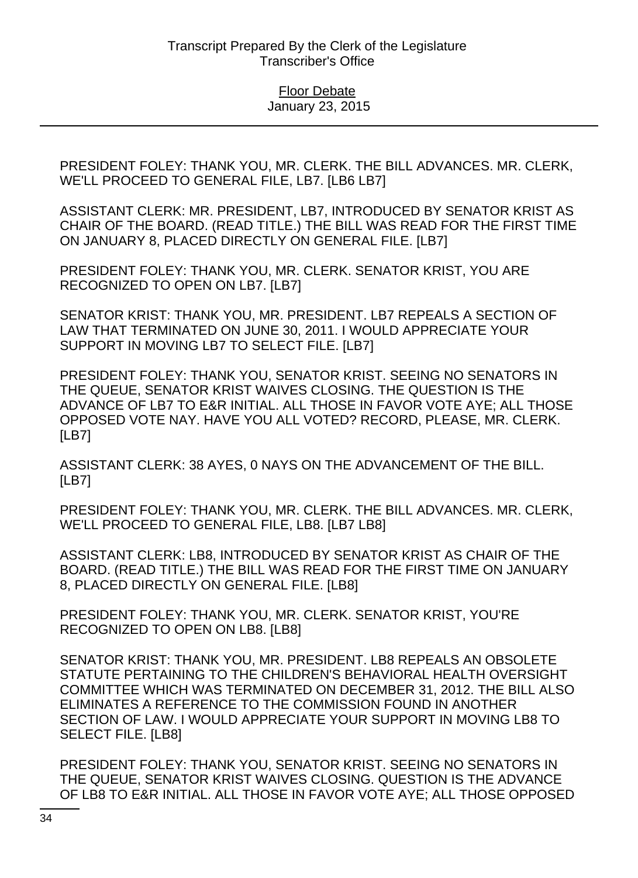PRESIDENT FOLEY: THANK YOU, MR. CLERK. THE BILL ADVANCES. MR. CLERK, WE'LL PROCEED TO GENERAL FILE, LB7. [LB6 LB7]

ASSISTANT CLERK: MR. PRESIDENT, LB7, INTRODUCED BY SENATOR KRIST AS CHAIR OF THE BOARD. (READ TITLE.) THE BILL WAS READ FOR THE FIRST TIME ON JANUARY 8, PLACED DIRECTLY ON GENERAL FILE. [LB7]

PRESIDENT FOLEY: THANK YOU, MR. CLERK. SENATOR KRIST, YOU ARE RECOGNIZED TO OPEN ON LB7. [LB7]

SENATOR KRIST: THANK YOU, MR. PRESIDENT. LB7 REPEALS A SECTION OF LAW THAT TERMINATED ON JUNE 30, 2011. I WOULD APPRECIATE YOUR SUPPORT IN MOVING LB7 TO SELECT FILE. [LB7]

PRESIDENT FOLEY: THANK YOU, SENATOR KRIST. SEEING NO SENATORS IN THE QUEUE, SENATOR KRIST WAIVES CLOSING. THE QUESTION IS THE ADVANCE OF LB7 TO E&R INITIAL. ALL THOSE IN FAVOR VOTE AYE; ALL THOSE OPPOSED VOTE NAY. HAVE YOU ALL VOTED? RECORD, PLEASE, MR. CLERK. [LB7]

ASSISTANT CLERK: 38 AYES, 0 NAYS ON THE ADVANCEMENT OF THE BILL. [LB7]

PRESIDENT FOLEY: THANK YOU, MR. CLERK. THE BILL ADVANCES. MR. CLERK, WE'LL PROCEED TO GENERAL FILE, LB8. [LB7 LB8]

ASSISTANT CLERK: LB8, INTRODUCED BY SENATOR KRIST AS CHAIR OF THE BOARD. (READ TITLE.) THE BILL WAS READ FOR THE FIRST TIME ON JANUARY 8, PLACED DIRECTLY ON GENERAL FILE. [LB8]

PRESIDENT FOLEY: THANK YOU, MR. CLERK. SENATOR KRIST, YOU'RE RECOGNIZED TO OPEN ON LB8. [LB8]

SENATOR KRIST: THANK YOU, MR. PRESIDENT. LB8 REPEALS AN OBSOLETE STATUTE PERTAINING TO THE CHILDREN'S BEHAVIORAL HEALTH OVERSIGHT COMMITTEE WHICH WAS TERMINATED ON DECEMBER 31, 2012. THE BILL ALSO ELIMINATES A REFERENCE TO THE COMMISSION FOUND IN ANOTHER SECTION OF LAW. I WOULD APPRECIATE YOUR SUPPORT IN MOVING LB8 TO SELECT FILE. [LB8]

PRESIDENT FOLEY: THANK YOU, SENATOR KRIST. SEEING NO SENATORS IN THE QUEUE, SENATOR KRIST WAIVES CLOSING. QUESTION IS THE ADVANCE OF LB8 TO E&R INITIAL. ALL THOSE IN FAVOR VOTE AYE; ALL THOSE OPPOSED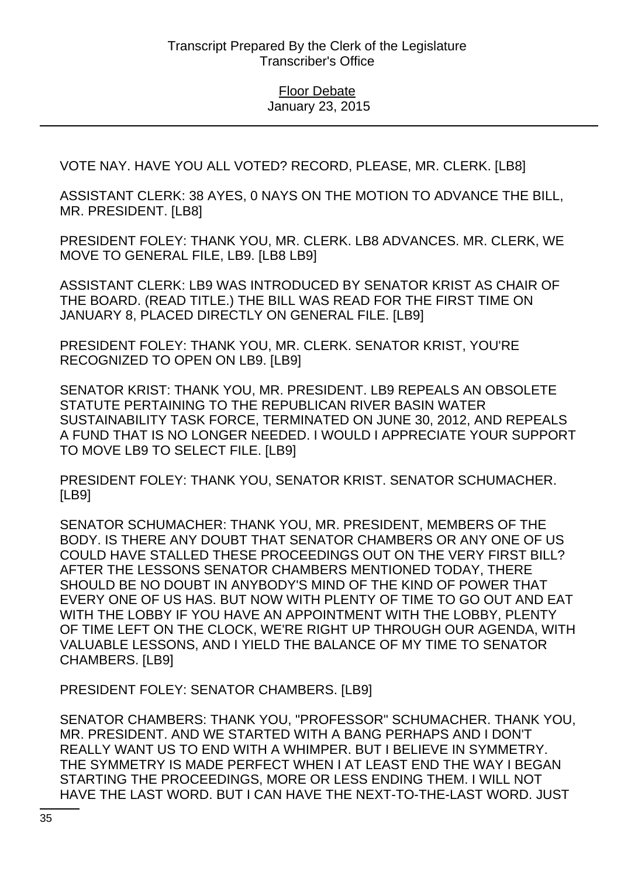VOTE NAY. HAVE YOU ALL VOTED? RECORD, PLEASE, MR. CLERK. [LB8]

ASSISTANT CLERK: 38 AYES, 0 NAYS ON THE MOTION TO ADVANCE THE BILL, MR. PRESIDENT. [LB8]

PRESIDENT FOLEY: THANK YOU, MR. CLERK. LB8 ADVANCES. MR. CLERK, WE MOVE TO GENERAL FILE, LB9. [LB8 LB9]

ASSISTANT CLERK: LB9 WAS INTRODUCED BY SENATOR KRIST AS CHAIR OF THE BOARD. (READ TITLE.) THE BILL WAS READ FOR THE FIRST TIME ON JANUARY 8, PLACED DIRECTLY ON GENERAL FILE. [LB9]

PRESIDENT FOLEY: THANK YOU, MR. CLERK. SENATOR KRIST, YOU'RE RECOGNIZED TO OPEN ON LB9. [LB9]

SENATOR KRIST: THANK YOU, MR. PRESIDENT. LB9 REPEALS AN OBSOLETE STATUTE PERTAINING TO THE REPUBLICAN RIVER BASIN WATER SUSTAINABILITY TASK FORCE, TERMINATED ON JUNE 30, 2012, AND REPEALS A FUND THAT IS NO LONGER NEEDED. I WOULD I APPRECIATE YOUR SUPPORT TO MOVE LB9 TO SELECT FILE. [LB9]

PRESIDENT FOLEY: THANK YOU, SENATOR KRIST. SENATOR SCHUMACHER. [LB9]

SENATOR SCHUMACHER: THANK YOU, MR. PRESIDENT, MEMBERS OF THE BODY. IS THERE ANY DOUBT THAT SENATOR CHAMBERS OR ANY ONE OF US COULD HAVE STALLED THESE PROCEEDINGS OUT ON THE VERY FIRST BILL? AFTER THE LESSONS SENATOR CHAMBERS MENTIONED TODAY, THERE SHOULD BE NO DOUBT IN ANYBODY'S MIND OF THE KIND OF POWER THAT EVERY ONE OF US HAS. BUT NOW WITH PLENTY OF TIME TO GO OUT AND EAT WITH THE LOBBY IF YOU HAVE AN APPOINTMENT WITH THE LOBBY, PLENTY OF TIME LEFT ON THE CLOCK, WE'RE RIGHT UP THROUGH OUR AGENDA, WITH VALUABLE LESSONS, AND I YIELD THE BALANCE OF MY TIME TO SENATOR CHAMBERS. [LB9]

PRESIDENT FOLEY: SENATOR CHAMBERS. [LB9]

SENATOR CHAMBERS: THANK YOU, "PROFESSOR" SCHUMACHER. THANK YOU, MR. PRESIDENT. AND WE STARTED WITH A BANG PERHAPS AND I DON'T REALLY WANT US TO END WITH A WHIMPER. BUT I BELIEVE IN SYMMETRY. THE SYMMETRY IS MADE PERFECT WHEN I AT LEAST END THE WAY I BEGAN STARTING THE PROCEEDINGS, MORE OR LESS ENDING THEM. I WILL NOT HAVE THE LAST WORD. BUT I CAN HAVE THE NEXT-TO-THE-LAST WORD. JUST